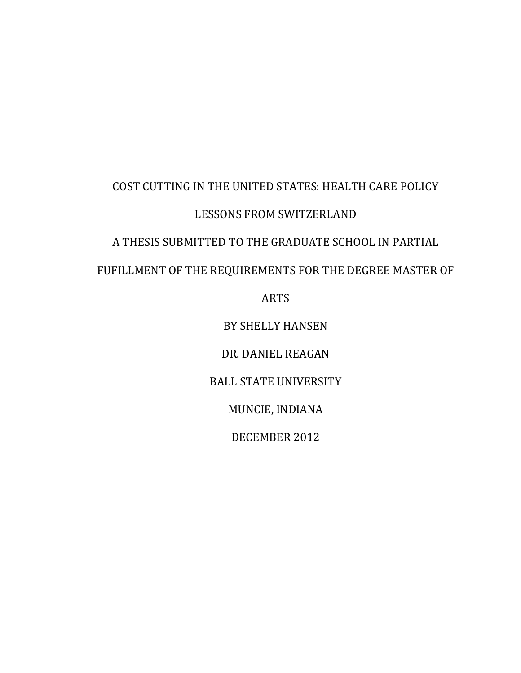# COST CUTTING IN THE UNITED STATES: HEALTH CARE POLICY LESSONS FROM SWITZERLAND A THESIS SUBMITTED TO THE GRADUATE SCHOOL IN PARTIAL FUFILLMENT OF THE REQUIREMENTS FOR THE DEGREE MASTER OF ARTS

BY SHELLY HANSEN

DR. DANIEL REAGAN

BALL STATE UNIVERSITY

MUNCIE, INDIANA

DECEMBER 2012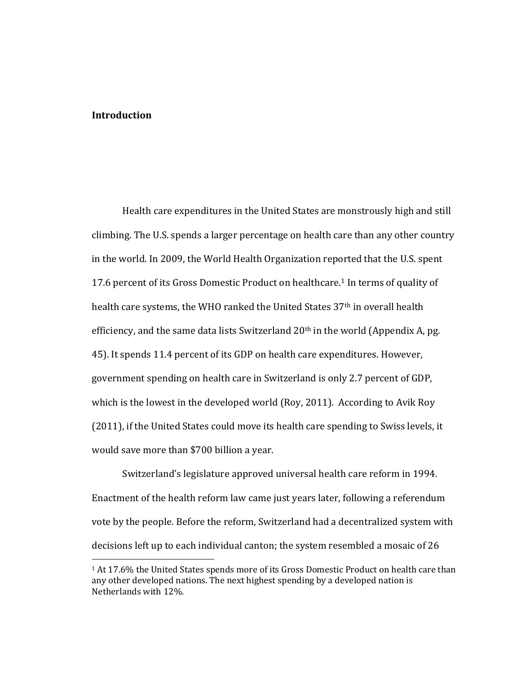#### **Introduction**

l

Health care expenditures in the United States are monstrously high and still climbing. The U.S. spends a larger percentage on health care than any other country in the world. In 2009, the World Health Organization reported that the U.S. spent 17.6 percent of its Gross Domestic Product on healthcare. <sup>1</sup> In terms of quality of health care systems, the WHO ranked the United States 37<sup>th</sup> in overall health efficiency, and the same data lists Switzerland  $20<sup>th</sup>$  in the world (Appendix A, pg. 45). It spends 11.4 percent of its GDP on health care expenditures. However, government spending on health care in Switzerland is only 2.7 percent of GDP, which is the lowest in the developed world (Roy, 2011). According to Avik Roy (2011), if the United States could move its health care spending to Swiss levels, it would save more than \$700 billion a year.

Switzerland's legislature approved universal health care reform in 1994. Enactment of the health reform law came just years later, following a referendum vote by the people. Before the reform, Switzerland had a decentralized system with decisions left up to each individual canton; the system resembled a mosaic of 26

<sup>1</sup> At 17.6% the United States spends more of its Gross Domestic Product on health care than any other developed nations. The next highest spending by a developed nation is Netherlands with 12%.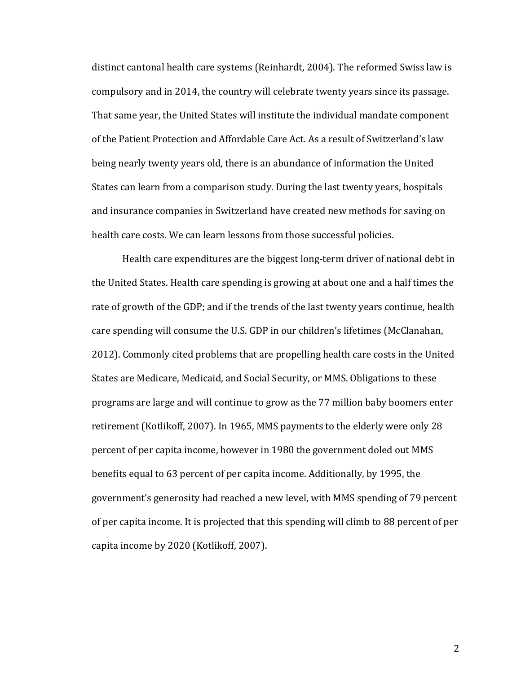distinct cantonal health care systems (Reinhardt, 2004). The reformed Swiss law is compulsory and in 2014, the country will celebrate twenty years since its passage. That same year, the United States will institute the individual mandate component of the Patient Protection and Affordable Care Act. As a result of Switzerland's law being nearly twenty years old, there is an abundance of information the United States can learn from a comparison study. During the last twenty years, hospitals and insurance companies in Switzerland have created new methods for saving on health care costs. We can learn lessons from those successful policies.

Health care expenditures are the biggest long-term driver of national debt in the United States. Health care spending is growing at about one and a half times the rate of growth of the GDP; and if the trends of the last twenty years continue, health care spending will consume the U.S. GDP in our children's lifetimes (McClanahan, 2012). Commonly cited problems that are propelling health care costs in the United States are Medicare, Medicaid, and Social Security, or MMS. Obligations to these programs are large and will continue to grow as the 77 million baby boomers enter retirement (Kotlikoff, 2007). In 1965, MMS payments to the elderly were only 28 percent of per capita income, however in 1980 the government doled out MMS benefits equal to 63 percent of per capita income. Additionally, by 1995, the government's generosity had reached a new level, with MMS spending of 79 percent of per capita income. It is projected that this spending will climb to 88 percent of per capita income by 2020 (Kotlikoff, 2007).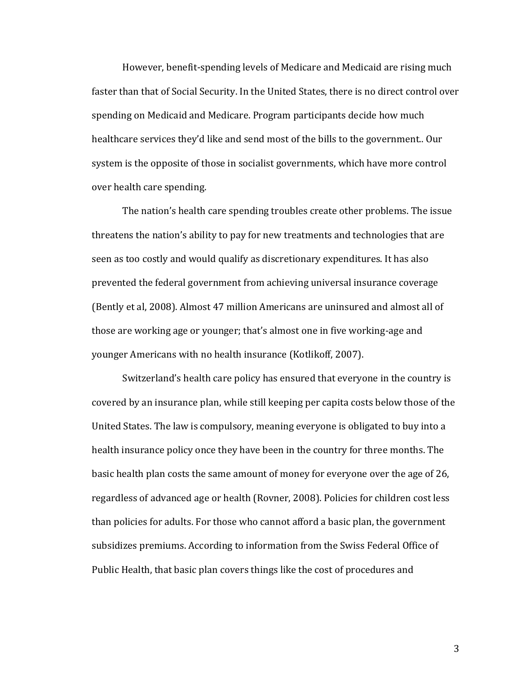However, benefit-spending levels of Medicare and Medicaid are rising much faster than that of Social Security. In the United States, there is no direct control over spending on Medicaid and Medicare. Program participants decide how much healthcare services they'd like and send most of the bills to the government.. Our system is the opposite of those in socialist governments, which have more control over health care spending.

The nation's health care spending troubles create other problems. The issue threatens the nation's ability to pay for new treatments and technologies that are seen as too costly and would qualify as discretionary expenditures. It has also prevented the federal government from achieving universal insurance coverage (Bently et al, 2008). Almost 47 million Americans are uninsured and almost all of those are working age or younger; that's almost one in five working-age and younger Americans with no health insurance (Kotlikoff, 2007).

Switzerland's health care policy has ensured that everyone in the country is covered by an insurance plan, while still keeping per capita costs below those of the United States. The law is compulsory, meaning everyone is obligated to buy into a health insurance policy once they have been in the country for three months. The basic health plan costs the same amount of money for everyone over the age of 26, regardless of advanced age or health (Rovner, 2008). Policies for children cost less than policies for adults. For those who cannot afford a basic plan, the government subsidizes premiums. According to information from the Swiss Federal Office of Public Health, that basic plan covers things like the cost of procedures and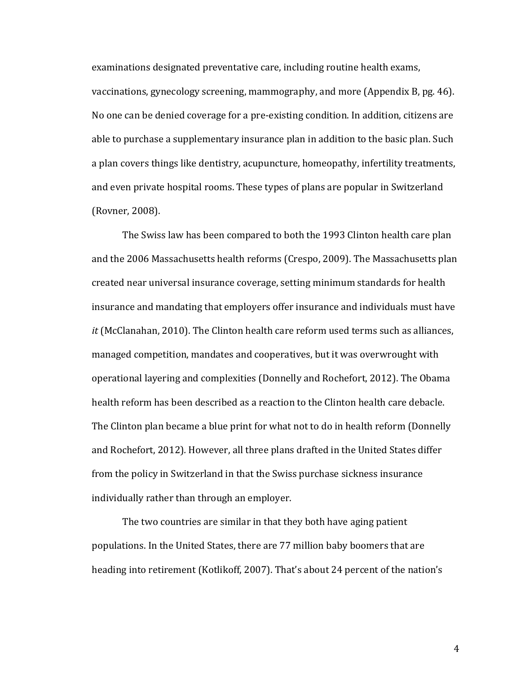examinations designated preventative care, including routine health exams,

vaccinations, gynecology screening, mammography, and more (Appendix B, pg. 46). No one can be denied coverage for a pre-existing condition. In addition, citizens are able to purchase a supplementary insurance plan in addition to the basic plan. Such a plan covers things like dentistry, acupuncture, homeopathy, infertility treatments, and even private hospital rooms. These types of plans are popular in Switzerland (Rovner, 2008).

The Swiss law has been compared to both the 1993 Clinton health care plan and the 2006 Massachusetts health reforms (Crespo, 2009). The Massachusetts plan created near universal insurance coverage, setting minimum standards for health insurance and mandating that employers offer insurance and individuals must have *it* (McClanahan, 2010). The Clinton health care reform used terms such as alliances, managed competition, mandates and cooperatives, but it was overwrought with operational layering and complexities (Donnelly and Rochefort, 2012). The Obama health reform has been described as a reaction to the Clinton health care debacle. The Clinton plan became a blue print for what not to do in health reform (Donnelly and Rochefort, 2012)*.* However, all three plans drafted in the United States differ from the policy in Switzerland in that the Swiss purchase sickness insurance individually rather than through an employer.

The two countries are similar in that they both have aging patient populations. In the United States, there are 77 million baby boomers that are heading into retirement (Kotlikoff, 2007). That's about 24 percent of the nation's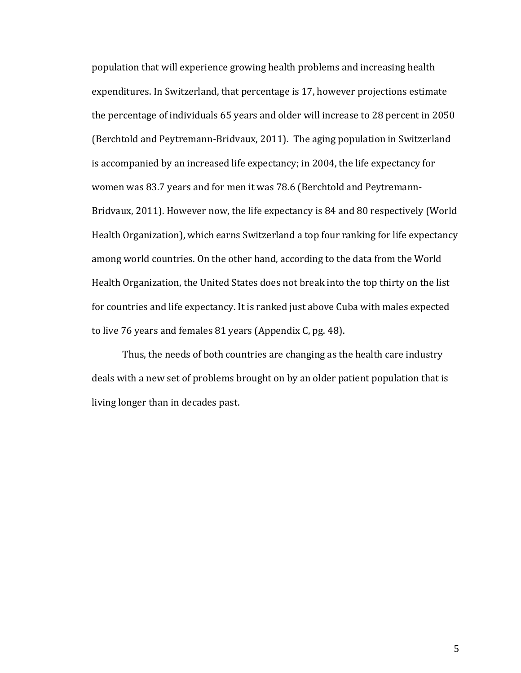population that will experience growing health problems and increasing health expenditures. In Switzerland, that percentage is 17, however projections estimate the percentage of individuals 65 years and older will increase to 28 percent in 2050 (Berchtold and Peytremann-Bridvaux, 2011). The aging population in Switzerland is accompanied by an increased life expectancy; in 2004, the life expectancy for women was 83.7 years and for men it was 78.6 (Berchtold and Peytremann-Bridvaux, 2011). However now, the life expectancy is 84 and 80 respectively (World Health Organization), which earns Switzerland a top four ranking for life expectancy among world countries. On the other hand, according to the data from the World Health Organization, the United States does not break into the top thirty on the list for countries and life expectancy. It is ranked just above Cuba with males expected to live 76 years and females 81 years (Appendix C, pg. 48).

Thus, the needs of both countries are changing as the health care industry deals with a new set of problems brought on by an older patient population that is living longer than in decades past.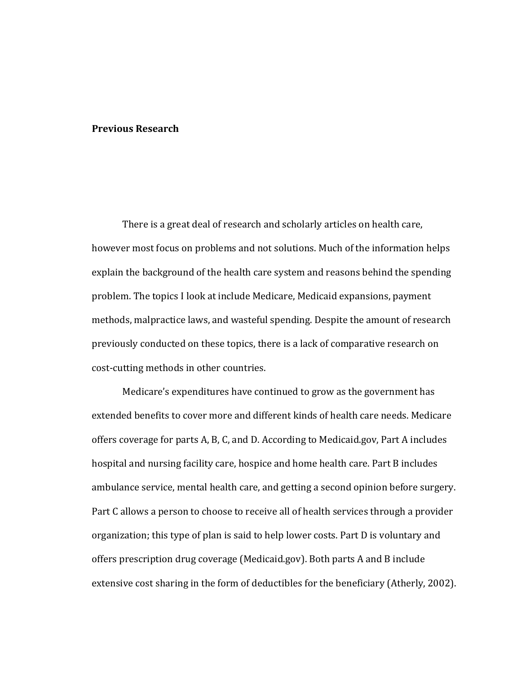#### **Previous Research**

There is a great deal of research and scholarly articles on health care, however most focus on problems and not solutions. Much of the information helps explain the background of the health care system and reasons behind the spending problem. The topics I look at include Medicare, Medicaid expansions, payment methods, malpractice laws, and wasteful spending. Despite the amount of research previously conducted on these topics, there is a lack of comparative research on cost-cutting methods in other countries.

Medicare's expenditures have continued to grow as the government has extended benefits to cover more and different kinds of health care needs. Medicare offers coverage for parts A, B, C, and D. According to Medicaid.gov, Part A includes hospital and nursing facility care, hospice and home health care. Part B includes ambulance service, mental health care, and getting a second opinion before surgery. Part C allows a person to choose to receive all of health services through a provider organization; this type of plan is said to help lower costs. Part D is voluntary and offers prescription drug coverage (Medicaid.gov). Both parts A and B include extensive cost sharing in the form of deductibles for the beneficiary (Atherly, 2002).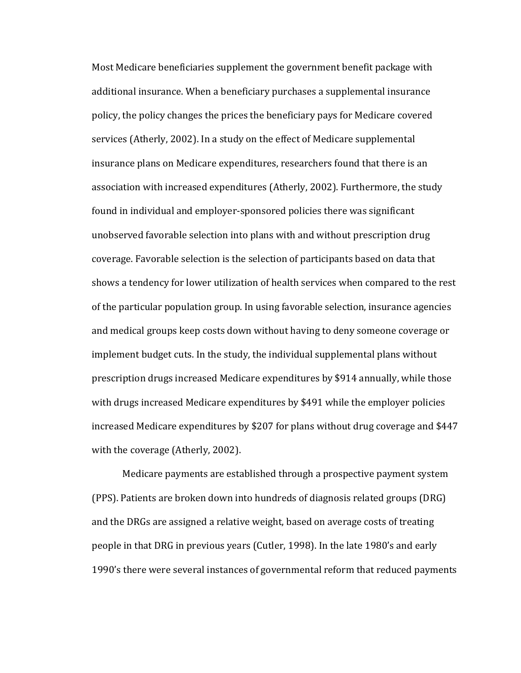Most Medicare beneficiaries supplement the government benefit package with additional insurance. When a beneficiary purchases a supplemental insurance policy, the policy changes the prices the beneficiary pays for Medicare covered services (Atherly, 2002). In a study on the effect of Medicare supplemental insurance plans on Medicare expenditures, researchers found that there is an association with increased expenditures (Atherly, 2002). Furthermore, the study found in individual and employer-sponsored policies there was significant unobserved favorable selection into plans with and without prescription drug coverage. Favorable selection is the selection of participants based on data that shows a tendency for lower utilization of health services when compared to the rest of the particular population group. In using favorable selection, insurance agencies and medical groups keep costs down without having to deny someone coverage or implement budget cuts. In the study, the individual supplemental plans without prescription drugs increased Medicare expenditures by \$914 annually, while those with drugs increased Medicare expenditures by \$491 while the employer policies increased Medicare expenditures by \$207 for plans without drug coverage and \$447 with the coverage (Atherly, 2002).

Medicare payments are established through a prospective payment system (PPS). Patients are broken down into hundreds of diagnosis related groups (DRG) and the DRGs are assigned a relative weight, based on average costs of treating people in that DRG in previous years (Cutler, 1998). In the late 1980's and early 1990's there were several instances of governmental reform that reduced payments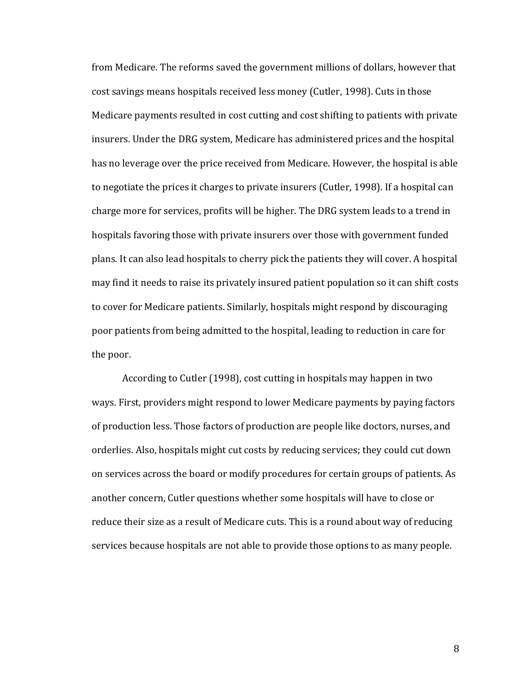from Medicare. The reforms saved the government millions of dollars, however that cost savings means hospitals received less money (Cutler, 1998). Cuts in those Medicare payments resulted in cost cutting and cost shifting to patients with private insurers. Under the DRG system, Medicare has administered prices and the hospital has no leverage over the price received from Medicare. However, the hospital is able to negotiate the prices it charges to private insurers (Cutler, 1998). If a hospital can charge more for services, profits will be higher. The DRG system leads to a trend in hospitals favoring those with private insurers over those with government funded plans. It can also lead hospitals to cherry pick the patients they will cover. A hospital may find it needs to raise its privately insured patient population so it can shift costs to cover for Medicare patients. Similarly, hospitals might respond by discouraging poor patients from being admitted to the hospital, leading to reduction in care for the poor.

According to Cutler (1998), cost cutting in hospitals may happen in two ways. First, providers might respond to lower Medicare payments by paying factors of production less. Those factors of production are people like doctors, nurses, and orderlies. Also, hospitals might cut costs by reducing services; they could cut down on services across the board or modify procedures for certain groups of patients. As another concern, Cutler questions whether some hospitals will have to close or reduce their size as a result of Medicare cuts. This is a round about way of reducing services because hospitals are not able to provide those options to as many people.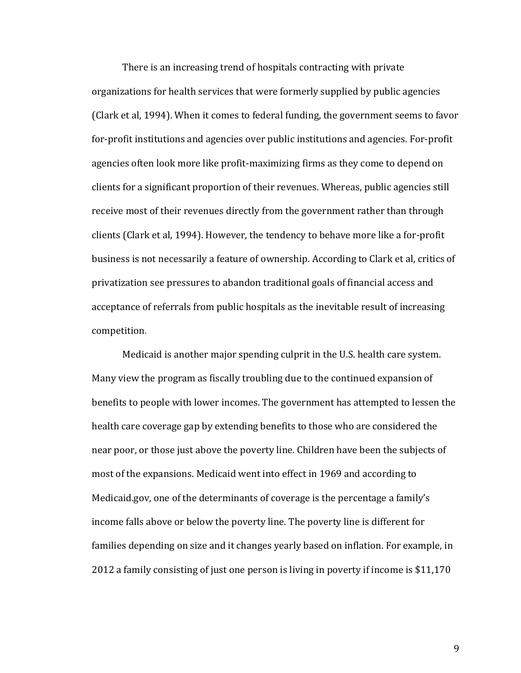There is an increasing trend of hospitals contracting with private organizations for health services that were formerly supplied by public agencies (Clark et al, 1994). When it comes to federal funding, the government seems to favor for-profit institutions and agencies over public institutions and agencies. For-profit agencies often look more like profit-maximizing firms as they come to depend on clients for a significant proportion of their revenues. Whereas, public agencies still receive most of their revenues directly from the government rather than through clients (Clark et al, 1994). However, the tendency to behave more like a for-profit business is not necessarily a feature of ownership. According to Clark et al, critics of privatization see pressures to abandon traditional goals of financial access and acceptance of referrals from public hospitals as the inevitable result of increasing competition.

Medicaid is another major spending culprit in the U.S. health care system. Many view the program as fiscally troubling due to the continued expansion of benefits to people with lower incomes. The government has attempted to lessen the health care coverage gap by extending benefits to those who are considered the near poor, or those just above the poverty line. Children have been the subjects of most of the expansions. Medicaid went into effect in 1969 and according to Medicaid.gov, one of the determinants of coverage is the percentage a family's income falls above or below the poverty line. The poverty line is different for families depending on size and it changes yearly based on inflation. For example, in 2012 a family consisting of just one person is living in poverty if income is \$11,170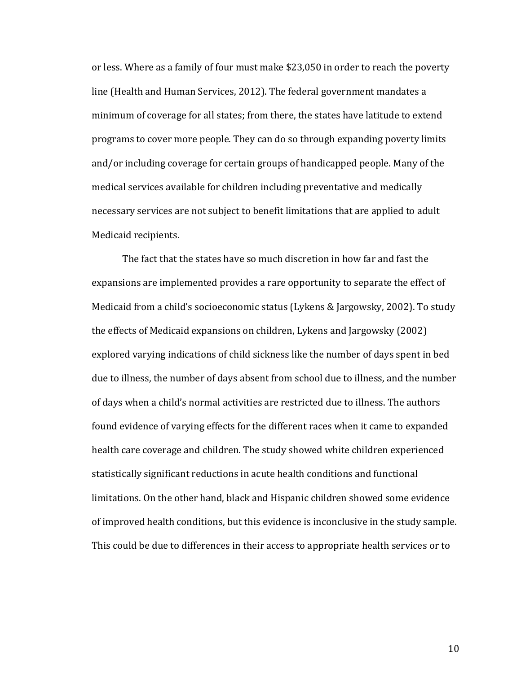or less. Where as a family of four must make \$23,050 in order to reach the poverty line (Health and Human Services, 2012). The federal government mandates a minimum of coverage for all states; from there, the states have latitude to extend programs to cover more people. They can do so through expanding poverty limits and/or including coverage for certain groups of handicapped people. Many of the medical services available for children including preventative and medically necessary services are not subject to benefit limitations that are applied to adult Medicaid recipients.

The fact that the states have so much discretion in how far and fast the expansions are implemented provides a rare opportunity to separate the effect of Medicaid from a child's socioeconomic status (Lykens & Jargowsky, 2002). To study the effects of Medicaid expansions on children, Lykens and Jargowsky (2002) explored varying indications of child sickness like the number of days spent in bed due to illness, the number of days absent from school due to illness, and the number of days when a child's normal activities are restricted due to illness. The authors found evidence of varying effects for the different races when it came to expanded health care coverage and children. The study showed white children experienced statistically significant reductions in acute health conditions and functional limitations. On the other hand, black and Hispanic children showed some evidence of improved health conditions, but this evidence is inconclusive in the study sample. This could be due to differences in their access to appropriate health services or to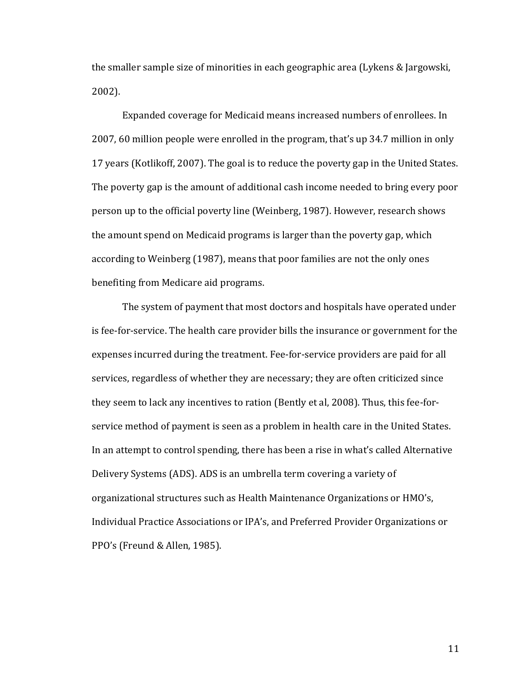the smaller sample size of minorities in each geographic area (Lykens & Jargowski, 2002).

Expanded coverage for Medicaid means increased numbers of enrollees. In 2007, 60 million people were enrolled in the program, that's up 34.7 million in only 17 years (Kotlikoff, 2007). The goal is to reduce the poverty gap in the United States. The poverty gap is the amount of additional cash income needed to bring every poor person up to the official poverty line (Weinberg, 1987). However, research shows the amount spend on Medicaid programs is larger than the poverty gap, which according to Weinberg (1987), means that poor families are not the only ones benefiting from Medicare aid programs.

The system of payment that most doctors and hospitals have operated under is fee-for-service. The health care provider bills the insurance or government for the expenses incurred during the treatment. Fee-for-service providers are paid for all services, regardless of whether they are necessary; they are often criticized since they seem to lack any incentives to ration (Bently et al, 2008). Thus, this fee-forservice method of payment is seen as a problem in health care in the United States. In an attempt to control spending, there has been a rise in what's called Alternative Delivery Systems (ADS). ADS is an umbrella term covering a variety of organizational structures such as Health Maintenance Organizations or HMO's, Individual Practice Associations or IPA's, and Preferred Provider Organizations or PPO's (Freund & Allen, 1985).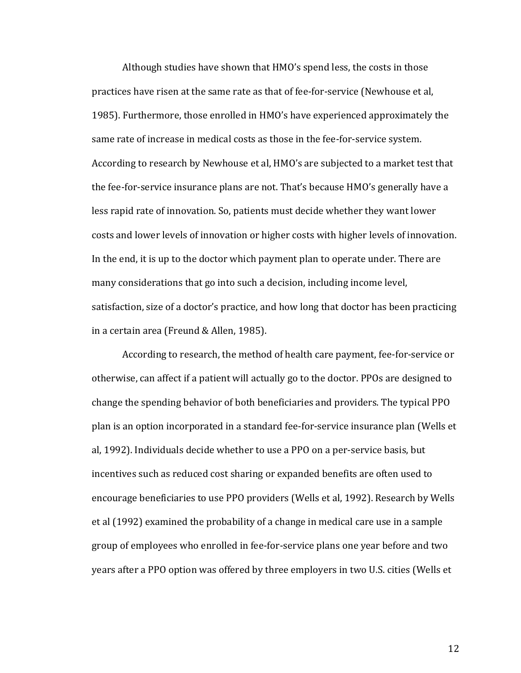Although studies have shown that HMO's spend less, the costs in those practices have risen at the same rate as that of fee-for-service (Newhouse et al, 1985). Furthermore, those enrolled in HMO's have experienced approximately the same rate of increase in medical costs as those in the fee-for-service system. According to research by Newhouse et al, HMO's are subjected to a market test that the fee-for-service insurance plans are not. That's because HMO's generally have a less rapid rate of innovation. So, patients must decide whether they want lower costs and lower levels of innovation or higher costs with higher levels of innovation. In the end, it is up to the doctor which payment plan to operate under. There are many considerations that go into such a decision, including income level, satisfaction, size of a doctor's practice, and how long that doctor has been practicing in a certain area (Freund & Allen, 1985).

According to research, the method of health care payment, fee-for-service or otherwise, can affect if a patient will actually go to the doctor. PPOs are designed to change the spending behavior of both beneficiaries and providers. The typical PPO plan is an option incorporated in a standard fee-for-service insurance plan (Wells et al, 1992). Individuals decide whether to use a PPO on a per-service basis, but incentives such as reduced cost sharing or expanded benefits are often used to encourage beneficiaries to use PPO providers (Wells et al, 1992). Research by Wells et al (1992) examined the probability of a change in medical care use in a sample group of employees who enrolled in fee-for-service plans one year before and two years after a PPO option was offered by three employers in two U.S. cities (Wells et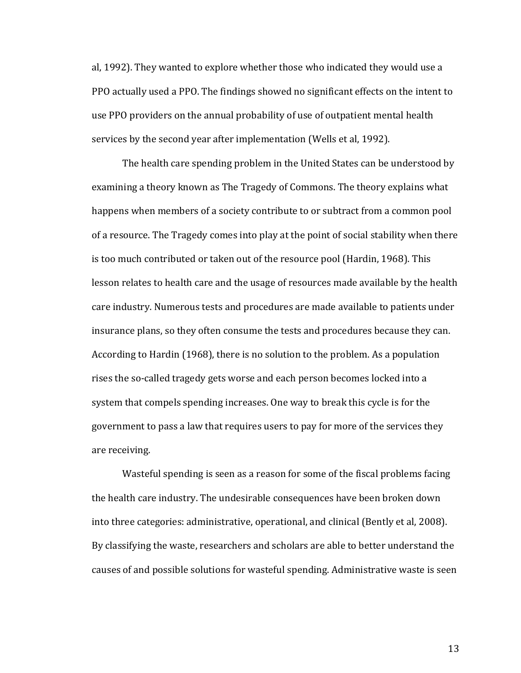al, 1992). They wanted to explore whether those who indicated they would use a PPO actually used a PPO. The findings showed no significant effects on the intent to use PPO providers on the annual probability of use of outpatient mental health services by the second year after implementation (Wells et al, 1992).

The health care spending problem in the United States can be understood by examining a theory known as The Tragedy of Commons. The theory explains what happens when members of a society contribute to or subtract from a common pool of a resource. The Tragedy comes into play at the point of social stability when there is too much contributed or taken out of the resource pool (Hardin, 1968). This lesson relates to health care and the usage of resources made available by the health care industry. Numerous tests and procedures are made available to patients under insurance plans, so they often consume the tests and procedures because they can. According to Hardin (1968), there is no solution to the problem. As a population rises the so-called tragedy gets worse and each person becomes locked into a system that compels spending increases. One way to break this cycle is for the government to pass a law that requires users to pay for more of the services they are receiving.

Wasteful spending is seen as a reason for some of the fiscal problems facing the health care industry. The undesirable consequences have been broken down into three categories: administrative, operational, and clinical (Bently et al, 2008). By classifying the waste, researchers and scholars are able to better understand the causes of and possible solutions for wasteful spending. Administrative waste is seen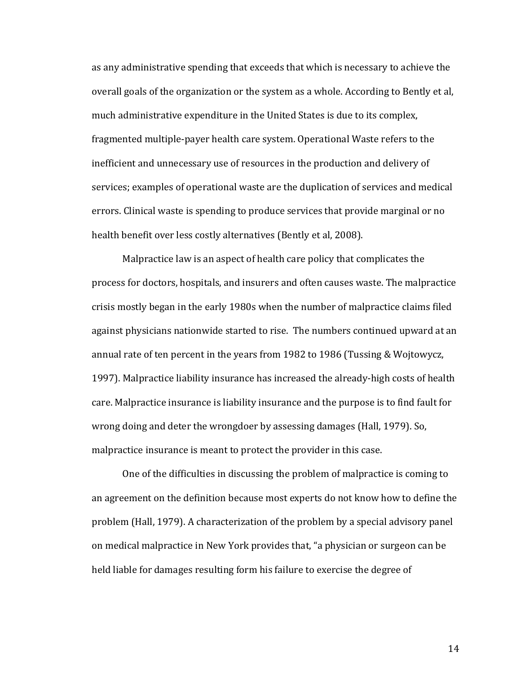as any administrative spending that exceeds that which is necessary to achieve the overall goals of the organization or the system as a whole. According to Bently et al, much administrative expenditure in the United States is due to its complex, fragmented multiple-payer health care system. Operational Waste refers to the inefficient and unnecessary use of resources in the production and delivery of services; examples of operational waste are the duplication of services and medical errors. Clinical waste is spending to produce services that provide marginal or no health benefit over less costly alternatives (Bently et al, 2008).

Malpractice law is an aspect of health care policy that complicates the process for doctors, hospitals, and insurers and often causes waste. The malpractice crisis mostly began in the early 1980s when the number of malpractice claims filed against physicians nationwide started to rise. The numbers continued upward at an annual rate of ten percent in the years from 1982 to 1986 (Tussing & Wojtowycz, 1997). Malpractice liability insurance has increased the already-high costs of health care. Malpractice insurance is liability insurance and the purpose is to find fault for wrong doing and deter the wrongdoer by assessing damages (Hall, 1979). So, malpractice insurance is meant to protect the provider in this case.

One of the difficulties in discussing the problem of malpractice is coming to an agreement on the definition because most experts do not know how to define the problem (Hall, 1979). A characterization of the problem by a special advisory panel on medical malpractice in New York provides that, "a physician or surgeon can be held liable for damages resulting form his failure to exercise the degree of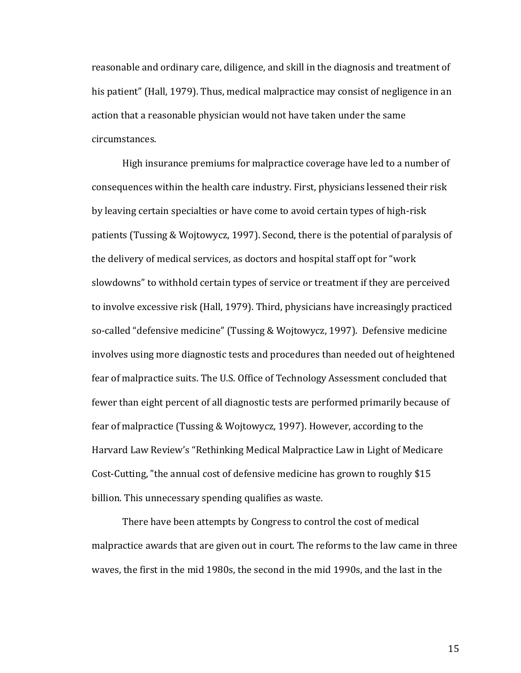reasonable and ordinary care, diligence, and skill in the diagnosis and treatment of his patient" (Hall, 1979). Thus, medical malpractice may consist of negligence in an action that a reasonable physician would not have taken under the same circumstances.

High insurance premiums for malpractice coverage have led to a number of consequences within the health care industry. First, physicians lessened their risk by leaving certain specialties or have come to avoid certain types of high-risk patients (Tussing & Wojtowycz, 1997). Second, there is the potential of paralysis of the delivery of medical services, as doctors and hospital staff opt for "work slowdowns" to withhold certain types of service or treatment if they are perceived to involve excessive risk (Hall, 1979). Third, physicians have increasingly practiced so-called "defensive medicine" (Tussing & Wojtowycz, 1997). Defensive medicine involves using more diagnostic tests and procedures than needed out of heightened fear of malpractice suits. The U.S. Office of Technology Assessment concluded that fewer than eight percent of all diagnostic tests are performed primarily because of fear of malpractice (Tussing & Wojtowycz, 1997). However, according to the Harvard Law Review's "Rethinking Medical Malpractice Law in Light of Medicare Cost-Cutting, "the annual cost of defensive medicine has grown to roughly \$15 billion. This unnecessary spending qualifies as waste.

There have been attempts by Congress to control the cost of medical malpractice awards that are given out in court. The reforms to the law came in three waves, the first in the mid 1980s, the second in the mid 1990s, and the last in the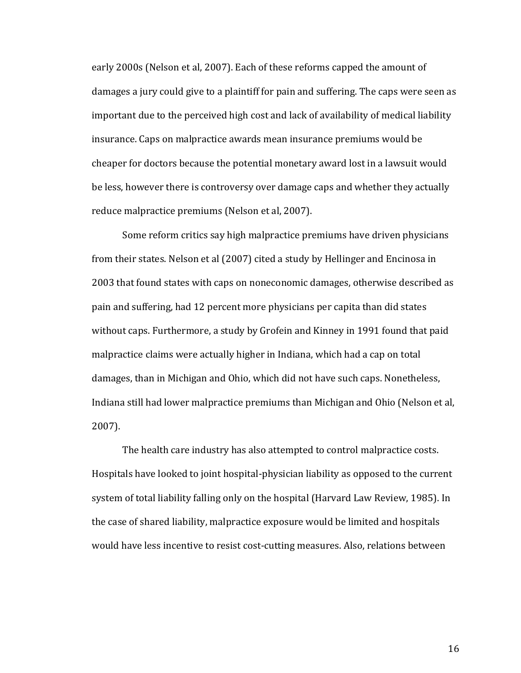early 2000s (Nelson et al, 2007). Each of these reforms capped the amount of damages a jury could give to a plaintiff for pain and suffering. The caps were seen as important due to the perceived high cost and lack of availability of medical liability insurance. Caps on malpractice awards mean insurance premiums would be cheaper for doctors because the potential monetary award lost in a lawsuit would be less, however there is controversy over damage caps and whether they actually reduce malpractice premiums (Nelson et al, 2007).

Some reform critics say high malpractice premiums have driven physicians from their states. Nelson et al (2007) cited a study by Hellinger and Encinosa in 2003 that found states with caps on noneconomic damages, otherwise described as pain and suffering, had 12 percent more physicians per capita than did states without caps. Furthermore, a study by Grofein and Kinney in 1991 found that paid malpractice claims were actually higher in Indiana, which had a cap on total damages, than in Michigan and Ohio, which did not have such caps. Nonetheless, Indiana still had lower malpractice premiums than Michigan and Ohio (Nelson et al, 2007).

The health care industry has also attempted to control malpractice costs. Hospitals have looked to joint hospital-physician liability as opposed to the current system of total liability falling only on the hospital (Harvard Law Review, 1985). In the case of shared liability, malpractice exposure would be limited and hospitals would have less incentive to resist cost-cutting measures. Also, relations between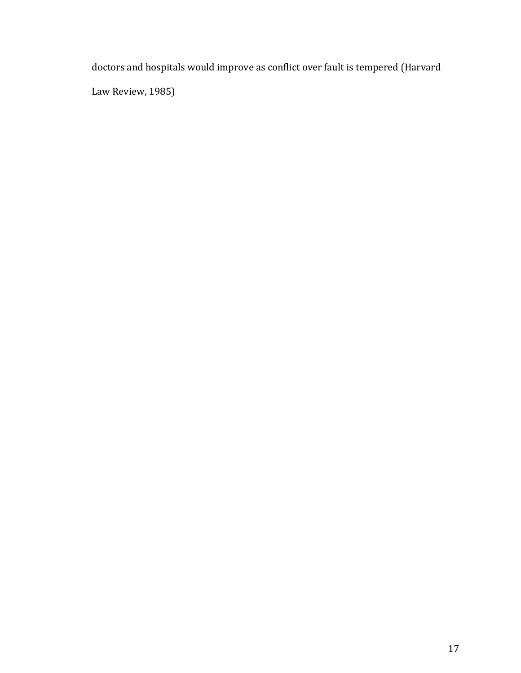doctors and hospitals would improve as conflict over fault is tempered (Harvard Law Review, 1985)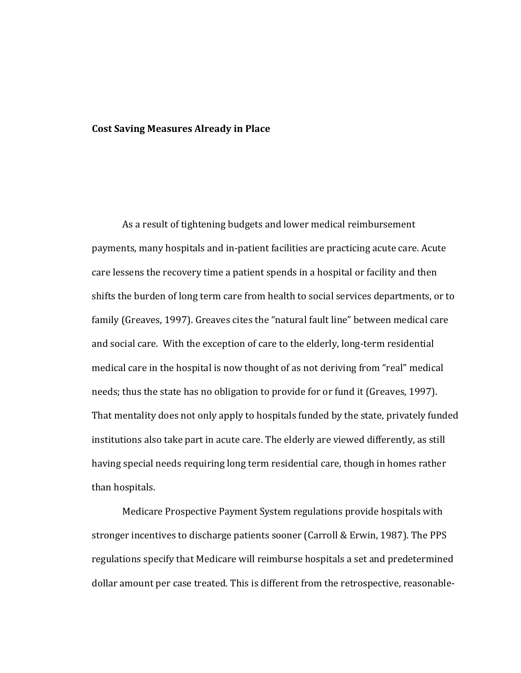#### **Cost Saving Measures Already in Place**

As a result of tightening budgets and lower medical reimbursement payments, many hospitals and in-patient facilities are practicing acute care. Acute care lessens the recovery time a patient spends in a hospital or facility and then shifts the burden of long term care from health to social services departments, or to family (Greaves, 1997). Greaves cites the "natural fault line" between medical care and social care. With the exception of care to the elderly, long-term residential medical care in the hospital is now thought of as not deriving from "real" medical needs; thus the state has no obligation to provide for or fund it (Greaves, 1997). That mentality does not only apply to hospitals funded by the state, privately funded institutions also take part in acute care. The elderly are viewed differently, as still having special needs requiring long term residential care, though in homes rather than hospitals.

Medicare Prospective Payment System regulations provide hospitals with stronger incentives to discharge patients sooner (Carroll & Erwin, 1987). The PPS regulations specify that Medicare will reimburse hospitals a set and predetermined dollar amount per case treated. This is different from the retrospective, reasonable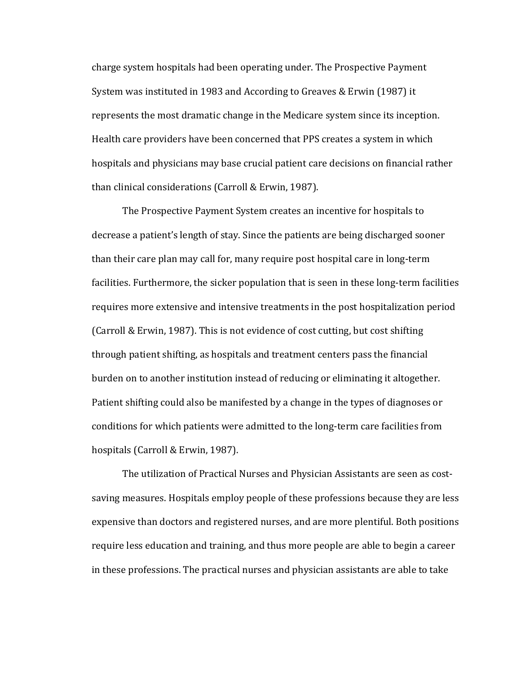charge system hospitals had been operating under. The Prospective Payment System was instituted in 1983 and According to Greaves & Erwin (1987) it represents the most dramatic change in the Medicare system since its inception. Health care providers have been concerned that PPS creates a system in which hospitals and physicians may base crucial patient care decisions on financial rather than clinical considerations (Carroll & Erwin, 1987).

The Prospective Payment System creates an incentive for hospitals to decrease a patient's length of stay. Since the patients are being discharged sooner than their care plan may call for, many require post hospital care in long-term facilities. Furthermore, the sicker population that is seen in these long-term facilities requires more extensive and intensive treatments in the post hospitalization period (Carroll & Erwin, 1987). This is not evidence of cost cutting, but cost shifting through patient shifting, as hospitals and treatment centers pass the financial burden on to another institution instead of reducing or eliminating it altogether. Patient shifting could also be manifested by a change in the types of diagnoses or conditions for which patients were admitted to the long-term care facilities from hospitals (Carroll & Erwin, 1987).

The utilization of Practical Nurses and Physician Assistants are seen as costsaving measures. Hospitals employ people of these professions because they are less expensive than doctors and registered nurses, and are more plentiful. Both positions require less education and training, and thus more people are able to begin a career in these professions. The practical nurses and physician assistants are able to take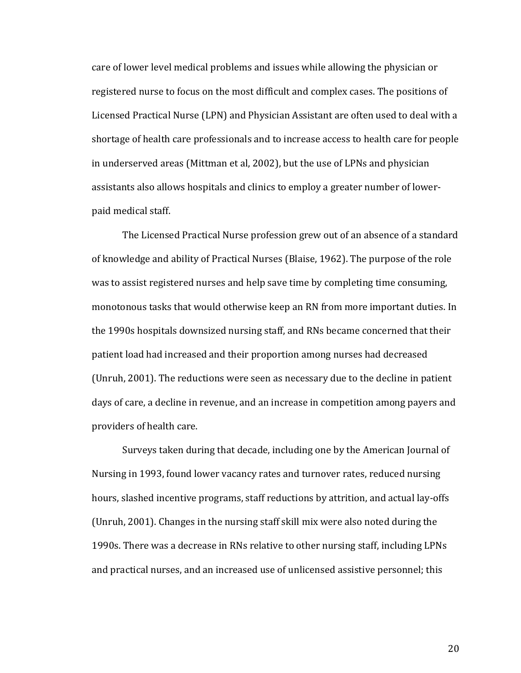care of lower level medical problems and issues while allowing the physician or registered nurse to focus on the most difficult and complex cases. The positions of Licensed Practical Nurse (LPN) and Physician Assistant are often used to deal with a shortage of health care professionals and to increase access to health care for people in underserved areas (Mittman et al, 2002), but the use of LPNs and physician assistants also allows hospitals and clinics to employ a greater number of lowerpaid medical staff.

The Licensed Practical Nurse profession grew out of an absence of a standard of knowledge and ability of Practical Nurses (Blaise, 1962). The purpose of the role was to assist registered nurses and help save time by completing time consuming, monotonous tasks that would otherwise keep an RN from more important duties. In the 1990s hospitals downsized nursing staff, and RNs became concerned that their patient load had increased and their proportion among nurses had decreased (Unruh, 2001). The reductions were seen as necessary due to the decline in patient days of care, a decline in revenue, and an increase in competition among payers and providers of health care.

Surveys taken during that decade, including one by the American Journal of Nursing in 1993, found lower vacancy rates and turnover rates, reduced nursing hours, slashed incentive programs, staff reductions by attrition, and actual lay-offs (Unruh, 2001). Changes in the nursing staff skill mix were also noted during the 1990s. There was a decrease in RNs relative to other nursing staff, including LPNs and practical nurses, and an increased use of unlicensed assistive personnel; this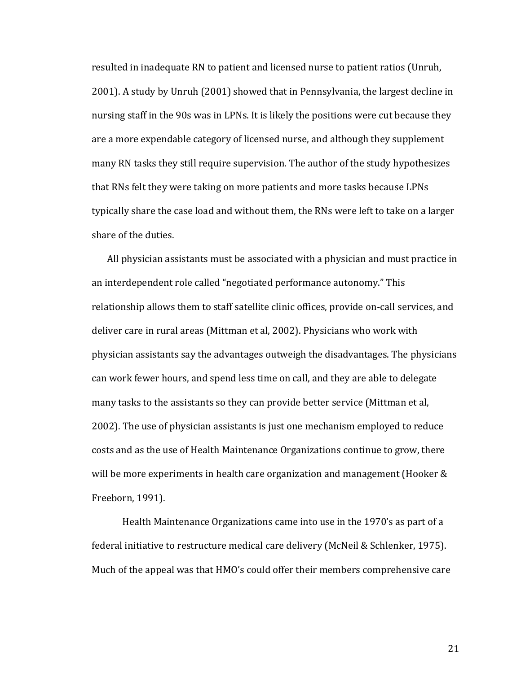resulted in inadequate RN to patient and licensed nurse to patient ratios (Unruh, 2001). A study by Unruh (2001) showed that in Pennsylvania, the largest decline in nursing staff in the 90s was in LPNs. It is likely the positions were cut because they are a more expendable category of licensed nurse, and although they supplement many RN tasks they still require supervision. The author of the study hypothesizes that RNs felt they were taking on more patients and more tasks because LPNs typically share the case load and without them, the RNs were left to take on a larger share of the duties.

All physician assistants must be associated with a physician and must practice in an interdependent role called "negotiated performance autonomy." This relationship allows them to staff satellite clinic offices, provide on-call services, and deliver care in rural areas (Mittman et al, 2002). Physicians who work with physician assistants say the advantages outweigh the disadvantages. The physicians can work fewer hours, and spend less time on call, and they are able to delegate many tasks to the assistants so they can provide better service (Mittman et al, 2002). The use of physician assistants is just one mechanism employed to reduce costs and as the use of Health Maintenance Organizations continue to grow, there will be more experiments in health care organization and management (Hooker & Freeborn, 1991).

Health Maintenance Organizations came into use in the 1970's as part of a federal initiative to restructure medical care delivery (McNeil & Schlenker, 1975). Much of the appeal was that HMO's could offer their members comprehensive care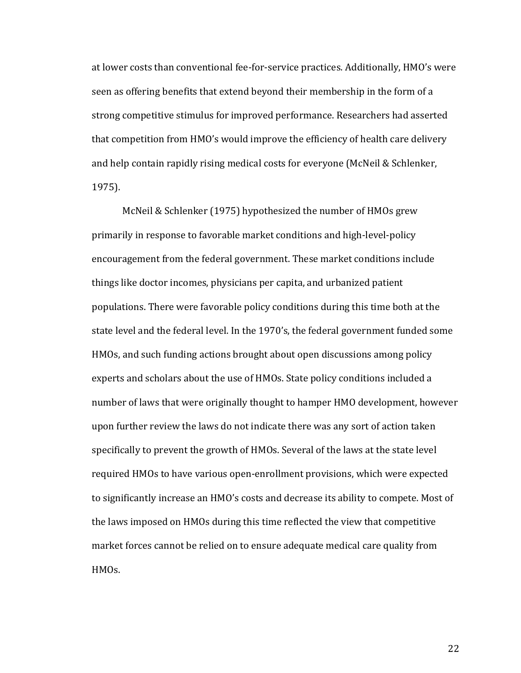at lower costs than conventional fee-for-service practices. Additionally, HMO's were seen as offering benefits that extend beyond their membership in the form of a strong competitive stimulus for improved performance. Researchers had asserted that competition from HMO's would improve the efficiency of health care delivery and help contain rapidly rising medical costs for everyone (McNeil & Schlenker, 1975).

McNeil & Schlenker (1975) hypothesized the number of HMOs grew primarily in response to favorable market conditions and high-level-policy encouragement from the federal government. These market conditions include things like doctor incomes, physicians per capita, and urbanized patient populations. There were favorable policy conditions during this time both at the state level and the federal level. In the 1970's, the federal government funded some HMOs, and such funding actions brought about open discussions among policy experts and scholars about the use of HMOs. State policy conditions included a number of laws that were originally thought to hamper HMO development, however upon further review the laws do not indicate there was any sort of action taken specifically to prevent the growth of HMOs. Several of the laws at the state level required HMOs to have various open-enrollment provisions, which were expected to significantly increase an HMO's costs and decrease its ability to compete. Most of the laws imposed on HMOs during this time reflected the view that competitive market forces cannot be relied on to ensure adequate medical care quality from HMOs.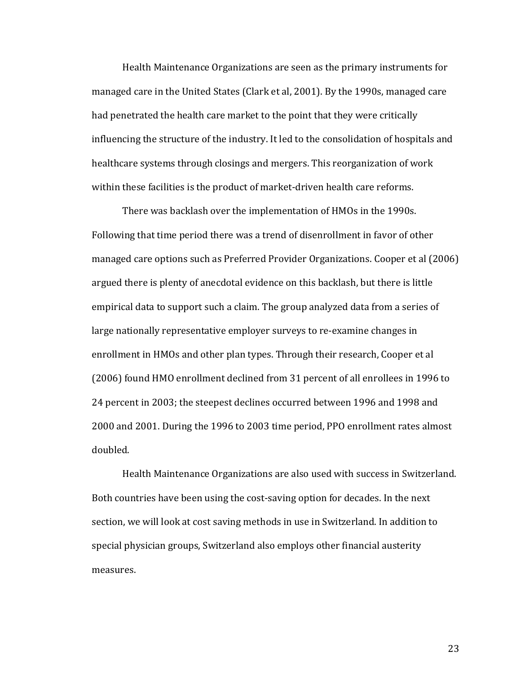Health Maintenance Organizations are seen as the primary instruments for managed care in the United States (Clark et al, 2001). By the 1990s, managed care had penetrated the health care market to the point that they were critically influencing the structure of the industry. It led to the consolidation of hospitals and healthcare systems through closings and mergers. This reorganization of work within these facilities is the product of market-driven health care reforms.

There was backlash over the implementation of HMOs in the 1990s. Following that time period there was a trend of disenrollment in favor of other managed care options such as Preferred Provider Organizations. Cooper et al (2006) argued there is plenty of anecdotal evidence on this backlash, but there is little empirical data to support such a claim. The group analyzed data from a series of large nationally representative employer surveys to re-examine changes in enrollment in HMOs and other plan types. Through their research, Cooper et al (2006) found HMO enrollment declined from 31 percent of all enrollees in 1996 to 24 percent in 2003; the steepest declines occurred between 1996 and 1998 and 2000 and 2001. During the 1996 to 2003 time period, PPO enrollment rates almost doubled.

Health Maintenance Organizations are also used with success in Switzerland. Both countries have been using the cost-saving option for decades. In the next section, we will look at cost saving methods in use in Switzerland. In addition to special physician groups, Switzerland also employs other financial austerity measures.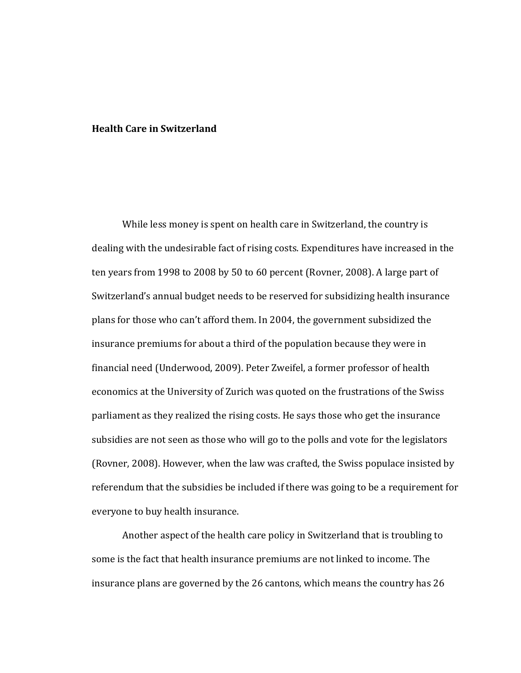#### **Health Care in Switzerland**

While less money is spent on health care in Switzerland, the country is dealing with the undesirable fact of rising costs. Expenditures have increased in the ten years from 1998 to 2008 by 50 to 60 percent (Rovner, 2008). A large part of Switzerland's annual budget needs to be reserved for subsidizing health insurance plans for those who can't afford them. In 2004, the government subsidized the insurance premiums for about a third of the population because they were in financial need (Underwood, 2009). Peter Zweifel, a former professor of health economics at the University of Zurich was quoted on the frustrations of the Swiss parliament as they realized the rising costs. He says those who get the insurance subsidies are not seen as those who will go to the polls and vote for the legislators (Rovner, 2008). However, when the law was crafted, the Swiss populace insisted by referendum that the subsidies be included if there was going to be a requirement for everyone to buy health insurance.

Another aspect of the health care policy in Switzerland that is troubling to some is the fact that health insurance premiums are not linked to income. The insurance plans are governed by the 26 cantons, which means the country has 26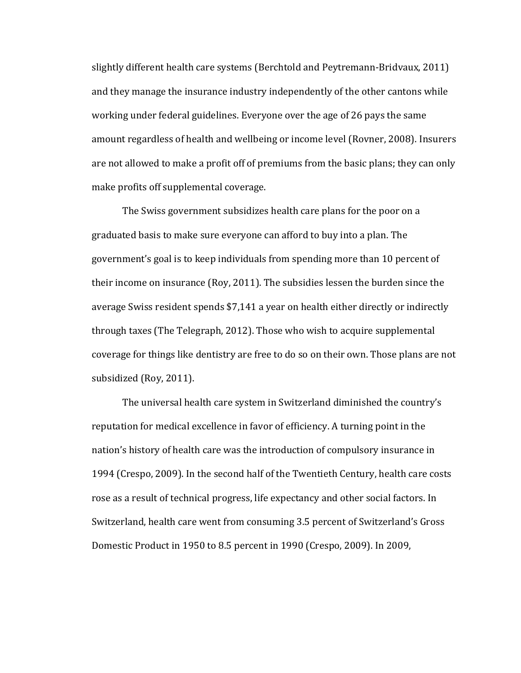slightly different health care systems (Berchtold and Peytremann-Bridvaux, 2011) and they manage the insurance industry independently of the other cantons while working under federal guidelines. Everyone over the age of 26 pays the same amount regardless of health and wellbeing or income level (Rovner, 2008). Insurers are not allowed to make a profit off of premiums from the basic plans; they can only make profits off supplemental coverage.

The Swiss government subsidizes health care plans for the poor on a graduated basis to make sure everyone can afford to buy into a plan. The government's goal is to keep individuals from spending more than 10 percent of their income on insurance (Roy, 2011). The subsidies lessen the burden since the average Swiss resident spends \$7,141 a year on health either directly or indirectly through taxes (The Telegraph, 2012). Those who wish to acquire supplemental coverage for things like dentistry are free to do so on their own. Those plans are not subsidized (Roy, 2011).

The universal health care system in Switzerland diminished the country's reputation for medical excellence in favor of efficiency. A turning point in the nation's history of health care was the introduction of compulsory insurance in 1994 (Crespo, 2009). In the second half of the Twentieth Century, health care costs rose as a result of technical progress, life expectancy and other social factors. In Switzerland, health care went from consuming 3.5 percent of Switzerland's Gross Domestic Product in 1950 to 8.5 percent in 1990 (Crespo, 2009). In 2009,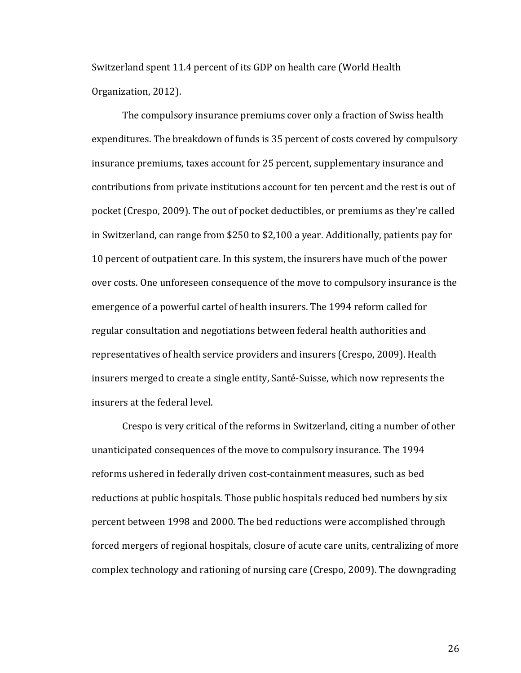Switzerland spent 11.4 percent of its GDP on health care (World Health Organization, 2012).

The compulsory insurance premiums cover only a fraction of Swiss health expenditures. The breakdown of funds is 35 percent of costs covered by compulsory insurance premiums, taxes account for 25 percent, supplementary insurance and contributions from private institutions account for ten percent and the rest is out of pocket (Crespo, 2009). The out of pocket deductibles, or premiums as they're called in Switzerland, can range from \$250 to \$2,100 a year. Additionally, patients pay for 10 percent of outpatient care. In this system, the insurers have much of the power over costs. One unforeseen consequence of the move to compulsory insurance is the emergence of a powerful cartel of health insurers. The 1994 reform called for regular consultation and negotiations between federal health authorities and representatives of health service providers and insurers (Crespo, 2009). Health insurers merged to create a single entity, Santé-Suisse, which now represents the insurers at the federal level.

Crespo is very critical of the reforms in Switzerland, citing a number of other unanticipated consequences of the move to compulsory insurance. The 1994 reforms ushered in federally driven cost-containment measures, such as bed reductions at public hospitals. Those public hospitals reduced bed numbers by six percent between 1998 and 2000. The bed reductions were accomplished through forced mergers of regional hospitals, closure of acute care units, centralizing of more complex technology and rationing of nursing care (Crespo, 2009). The downgrading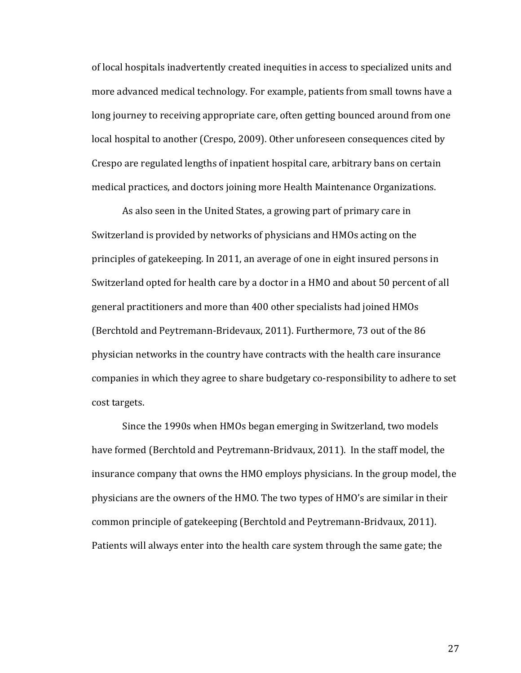of local hospitals inadvertently created inequities in access to specialized units and more advanced medical technology. For example, patients from small towns have a long journey to receiving appropriate care, often getting bounced around from one local hospital to another (Crespo, 2009). Other unforeseen consequences cited by Crespo are regulated lengths of inpatient hospital care, arbitrary bans on certain medical practices, and doctors joining more Health Maintenance Organizations.

As also seen in the United States, a growing part of primary care in Switzerland is provided by networks of physicians and HMOs acting on the principles of gatekeeping. In 2011, an average of one in eight insured persons in Switzerland opted for health care by a doctor in a HMO and about 50 percent of all general practitioners and more than 400 other specialists had joined HMOs (Berchtold and Peytremann-Bridevaux, 2011). Furthermore, 73 out of the 86 physician networks in the country have contracts with the health care insurance companies in which they agree to share budgetary co-responsibility to adhere to set cost targets.

Since the 1990s when HMOs began emerging in Switzerland, two models have formed (Berchtold and Peytremann-Bridvaux, 2011). In the staff model, the insurance company that owns the HMO employs physicians. In the group model, the physicians are the owners of the HMO. The two types of HMO's are similar in their common principle of gatekeeping (Berchtold and Peytremann-Bridvaux, 2011). Patients will always enter into the health care system through the same gate; the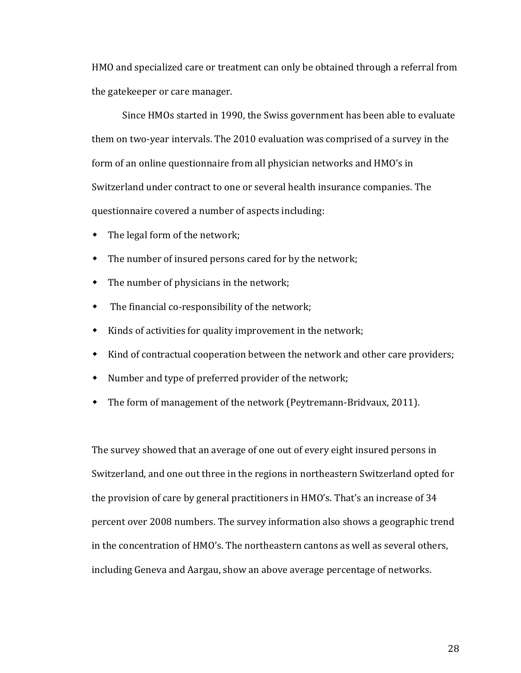HMO and specialized care or treatment can only be obtained through a referral from the gatekeeper or care manager.

Since HMOs started in 1990, the Swiss government has been able to evaluate them on two-year intervals. The 2010 evaluation was comprised of a survey in the form of an online questionnaire from all physician networks and HMO's in Switzerland under contract to one or several health insurance companies. The questionnaire covered a number of aspects including:

- The legal form of the network;
- The number of insured persons cared for by the network;
- The number of physicians in the network;
- The financial co-responsibility of the network;
- $\bullet$  Kinds of activities for quality improvement in the network;
- Kind of contractual cooperation between the network and other care providers;
- Number and type of preferred provider of the network;
- The form of management of the network (Peytremann-Bridvaux, 2011).

The survey showed that an average of one out of every eight insured persons in Switzerland, and one out three in the regions in northeastern Switzerland opted for the provision of care by general practitioners in HMO's. That's an increase of 34 percent over 2008 numbers. The survey information also shows a geographic trend in the concentration of HMO's. The northeastern cantons as well as several others, including Geneva and Aargau, show an above average percentage of networks.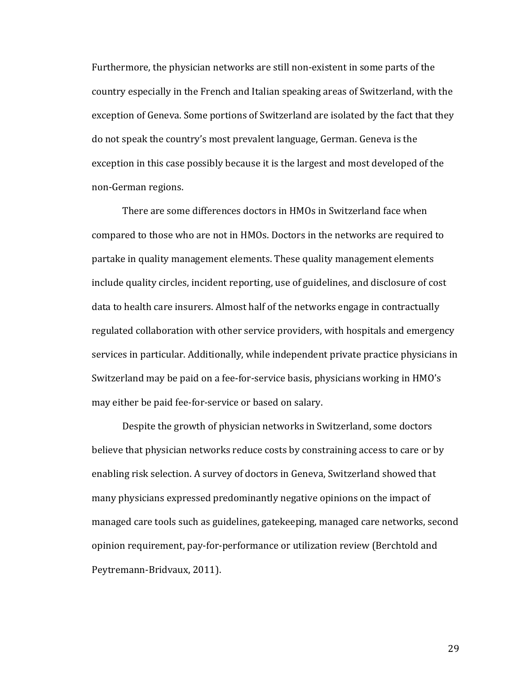Furthermore, the physician networks are still non-existent in some parts of the country especially in the French and Italian speaking areas of Switzerland, with the exception of Geneva. Some portions of Switzerland are isolated by the fact that they do not speak the country's most prevalent language, German. Geneva is the exception in this case possibly because it is the largest and most developed of the non-German regions.

There are some differences doctors in HMOs in Switzerland face when compared to those who are not in HMOs. Doctors in the networks are required to partake in quality management elements. These quality management elements include quality circles, incident reporting, use of guidelines, and disclosure of cost data to health care insurers. Almost half of the networks engage in contractually regulated collaboration with other service providers, with hospitals and emergency services in particular. Additionally, while independent private practice physicians in Switzerland may be paid on a fee-for-service basis, physicians working in HMO's may either be paid fee-for-service or based on salary.

Despite the growth of physician networks in Switzerland, some doctors believe that physician networks reduce costs by constraining access to care or by enabling risk selection. A survey of doctors in Geneva, Switzerland showed that many physicians expressed predominantly negative opinions on the impact of managed care tools such as guidelines, gatekeeping, managed care networks, second opinion requirement, pay-for-performance or utilization review (Berchtold and Peytremann-Bridvaux, 2011).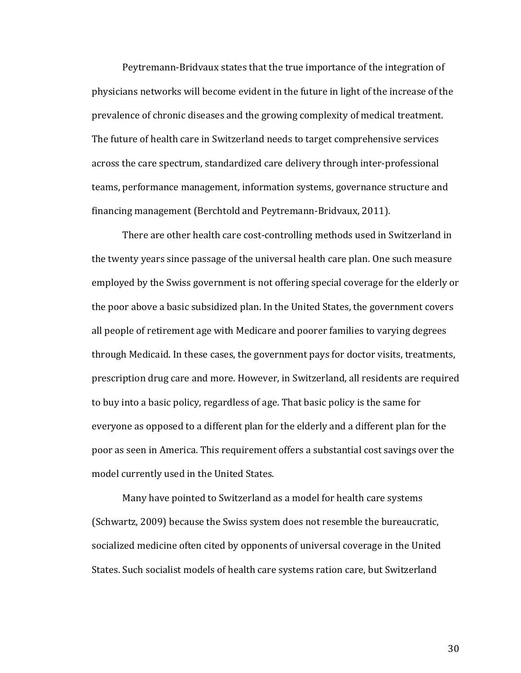Peytremann-Bridvaux states that the true importance of the integration of physicians networks will become evident in the future in light of the increase of the prevalence of chronic diseases and the growing complexity of medical treatment. The future of health care in Switzerland needs to target comprehensive services across the care spectrum, standardized care delivery through inter-professional teams, performance management, information systems, governance structure and financing management (Berchtold and Peytremann-Bridvaux, 2011).

There are other health care cost-controlling methods used in Switzerland in the twenty years since passage of the universal health care plan. One such measure employed by the Swiss government is not offering special coverage for the elderly or the poor above a basic subsidized plan. In the United States, the government covers all people of retirement age with Medicare and poorer families to varying degrees through Medicaid. In these cases, the government pays for doctor visits, treatments, prescription drug care and more. However, in Switzerland, all residents are required to buy into a basic policy, regardless of age. That basic policy is the same for everyone as opposed to a different plan for the elderly and a different plan for the poor as seen in America. This requirement offers a substantial cost savings over the model currently used in the United States.

Many have pointed to Switzerland as a model for health care systems (Schwartz, 2009) because the Swiss system does not resemble the bureaucratic, socialized medicine often cited by opponents of universal coverage in the United States. Such socialist models of health care systems ration care, but Switzerland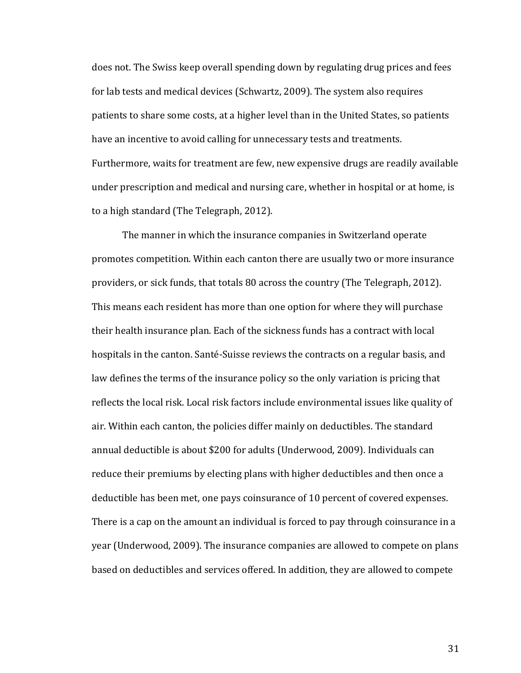does not. The Swiss keep overall spending down by regulating drug prices and fees for lab tests and medical devices (Schwartz, 2009). The system also requires patients to share some costs, at a higher level than in the United States, so patients have an incentive to avoid calling for unnecessary tests and treatments. Furthermore, waits for treatment are few, new expensive drugs are readily available under prescription and medical and nursing care, whether in hospital or at home, is to a high standard (The Telegraph, 2012).

The manner in which the insurance companies in Switzerland operate promotes competition. Within each canton there are usually two or more insurance providers, or sick funds, that totals 80 across the country (The Telegraph, 2012). This means each resident has more than one option for where they will purchase their health insurance plan. Each of the sickness funds has a contract with local hospitals in the canton. Santé-Suisse reviews the contracts on a regular basis, and law defines the terms of the insurance policy so the only variation is pricing that reflects the local risk. Local risk factors include environmental issues like quality of air. Within each canton, the policies differ mainly on deductibles. The standard annual deductible is about \$200 for adults (Underwood, 2009). Individuals can reduce their premiums by electing plans with higher deductibles and then once a deductible has been met, one pays coinsurance of 10 percent of covered expenses. There is a cap on the amount an individual is forced to pay through coinsurance in a year (Underwood, 2009). The insurance companies are allowed to compete on plans based on deductibles and services offered. In addition, they are allowed to compete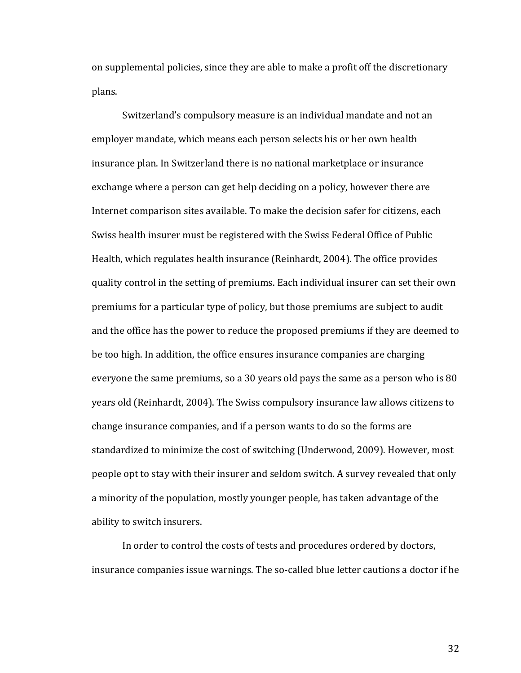on supplemental policies, since they are able to make a profit off the discretionary plans.

Switzerland's compulsory measure is an individual mandate and not an employer mandate, which means each person selects his or her own health insurance plan. In Switzerland there is no national marketplace or insurance exchange where a person can get help deciding on a policy, however there are Internet comparison sites available. To make the decision safer for citizens, each Swiss health insurer must be registered with the Swiss Federal Office of Public Health, which regulates health insurance (Reinhardt, 2004). The office provides quality control in the setting of premiums. Each individual insurer can set their own premiums for a particular type of policy, but those premiums are subject to audit and the office has the power to reduce the proposed premiums if they are deemed to be too high. In addition, the office ensures insurance companies are charging everyone the same premiums, so a 30 years old pays the same as a person who is 80 years old (Reinhardt, 2004). The Swiss compulsory insurance law allows citizens to change insurance companies, and if a person wants to do so the forms are standardized to minimize the cost of switching (Underwood, 2009). However, most people opt to stay with their insurer and seldom switch. A survey revealed that only a minority of the population, mostly younger people, has taken advantage of the ability to switch insurers.

In order to control the costs of tests and procedures ordered by doctors, insurance companies issue warnings. The so-called blue letter cautions a doctor if he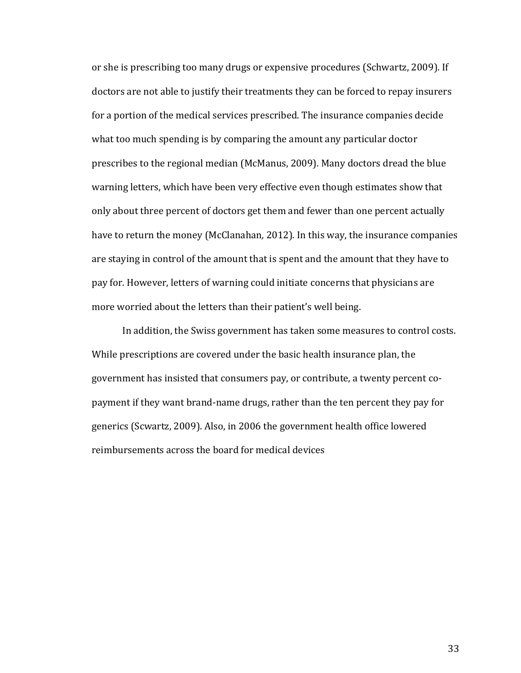or she is prescribing too many drugs or expensive procedures (Schwartz, 2009). If doctors are not able to justify their treatments they can be forced to repay insurers for a portion of the medical services prescribed. The insurance companies decide what too much spending is by comparing the amount any particular doctor prescribes to the regional median (McManus, 2009). Many doctors dread the blue warning letters, which have been very effective even though estimates show that only about three percent of doctors get them and fewer than one percent actually have to return the money (McClanahan*,* 2012)*.* In this way, the insurance companies are staying in control of the amount that is spent and the amount that they have to pay for. However, letters of warning could initiate concerns that physicians are more worried about the letters than their patient's well being.

In addition, the Swiss government has taken some measures to control costs. While prescriptions are covered under the basic health insurance plan, the government has insisted that consumers pay, or contribute, a twenty percent copayment if they want brand-name drugs, rather than the ten percent they pay for generics (Scwartz, 2009). Also, in 2006 the government health office lowered reimbursements across the board for medical devices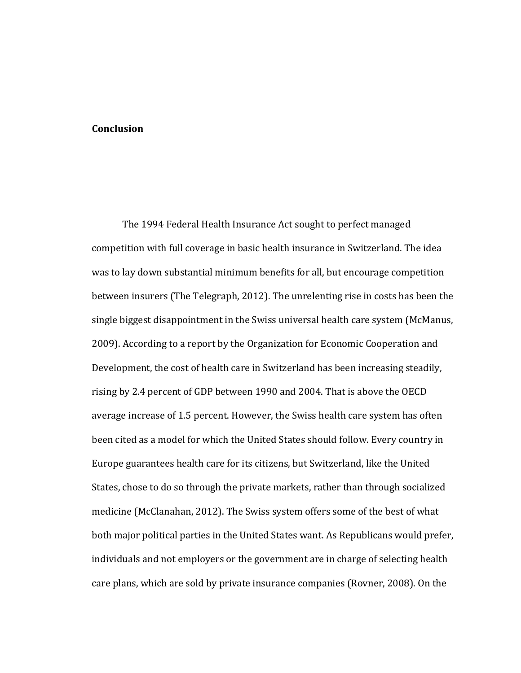### **Conclusion**

The 1994 Federal Health Insurance Act sought to perfect managed competition with full coverage in basic health insurance in Switzerland. The idea was to lay down substantial minimum benefits for all, but encourage competition between insurers (The Telegraph, 2012). The unrelenting rise in costs has been the single biggest disappointment in the Swiss universal health care system (McManus, 2009). According to a report by the Organization for Economic Cooperation and Development, the cost of health care in Switzerland has been increasing steadily, rising by 2.4 percent of GDP between 1990 and 2004. That is above the OECD average increase of 1.5 percent. However, the Swiss health care system has often been cited as a model for which the United States should follow. Every country in Europe guarantees health care for its citizens, but Switzerland, like the United States, chose to do so through the private markets, rather than through socialized medicine (McClanahan, 2012). The Swiss system offers some of the best of what both major political parties in the United States want. As Republicans would prefer, individuals and not employers or the government are in charge of selecting health care plans, which are sold by private insurance companies (Rovner, 2008). On the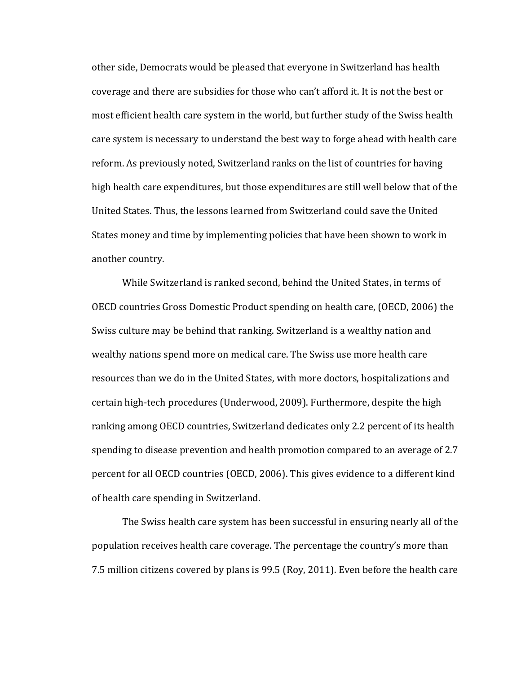other side, Democrats would be pleased that everyone in Switzerland has health coverage and there are subsidies for those who can't afford it. It is not the best or most efficient health care system in the world, but further study of the Swiss health care system is necessary to understand the best way to forge ahead with health care reform. As previously noted, Switzerland ranks on the list of countries for having high health care expenditures, but those expenditures are still well below that of the United States. Thus, the lessons learned from Switzerland could save the United States money and time by implementing policies that have been shown to work in another country.

While Switzerland is ranked second, behind the United States, in terms of OECD countries Gross Domestic Product spending on health care, (OECD, 2006) the Swiss culture may be behind that ranking. Switzerland is a wealthy nation and wealthy nations spend more on medical care. The Swiss use more health care resources than we do in the United States, with more doctors, hospitalizations and certain high-tech procedures (Underwood, 2009). Furthermore, despite the high ranking among OECD countries, Switzerland dedicates only 2.2 percent of its health spending to disease prevention and health promotion compared to an average of 2.7 percent for all OECD countries (OECD, 2006). This gives evidence to a different kind of health care spending in Switzerland.

The Swiss health care system has been successful in ensuring nearly all of the population receives health care coverage. The percentage the country's more than 7.5 million citizens covered by plans is 99.5 (Roy, 2011). Even before the health care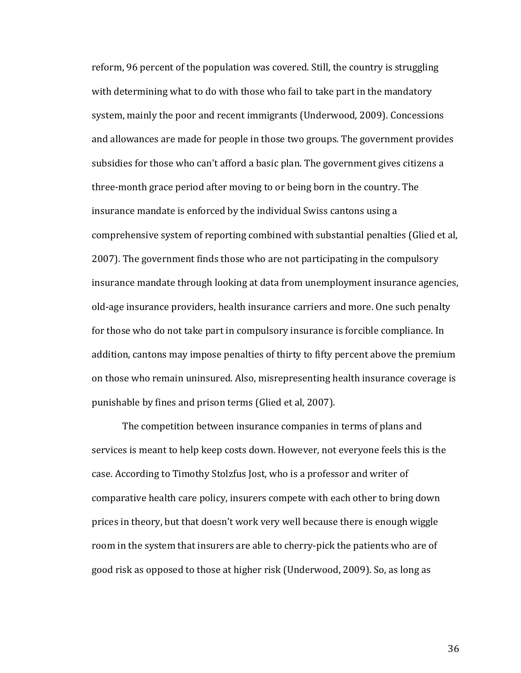reform, 96 percent of the population was covered. Still, the country is struggling with determining what to do with those who fail to take part in the mandatory system, mainly the poor and recent immigrants (Underwood, 2009). Concessions and allowances are made for people in those two groups. The government provides subsidies for those who can't afford a basic plan. The government gives citizens a three-month grace period after moving to or being born in the country. The insurance mandate is enforced by the individual Swiss cantons using a comprehensive system of reporting combined with substantial penalties (Glied et al, 2007). The government finds those who are not participating in the compulsory insurance mandate through looking at data from unemployment insurance agencies, old-age insurance providers, health insurance carriers and more. One such penalty for those who do not take part in compulsory insurance is forcible compliance. In addition, cantons may impose penalties of thirty to fifty percent above the premium on those who remain uninsured. Also, misrepresenting health insurance coverage is punishable by fines and prison terms (Glied et al, 2007).

The competition between insurance companies in terms of plans and services is meant to help keep costs down. However, not everyone feels this is the case. According to Timothy Stolzfus Jost, who is a professor and writer of comparative health care policy, insurers compete with each other to bring down prices in theory, but that doesn't work very well because there is enough wiggle room in the system that insurers are able to cherry-pick the patients who are of good risk as opposed to those at higher risk (Underwood, 2009). So, as long as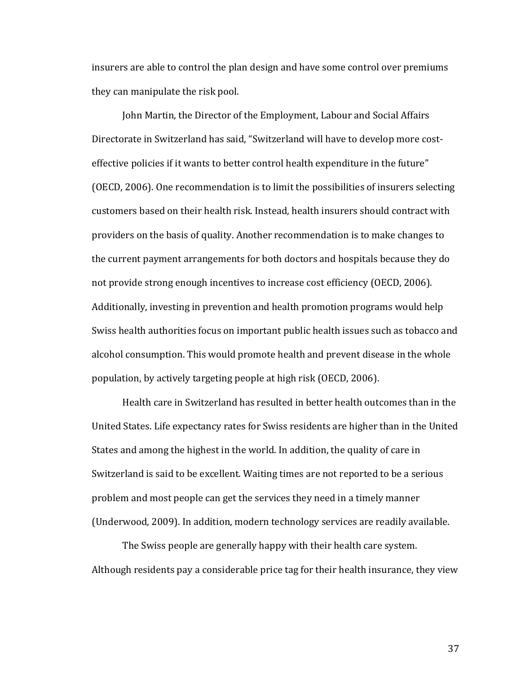insurers are able to control the plan design and have some control over premiums they can manipulate the risk pool.

John Martin, the Director of the Employment, Labour and Social Affairs Directorate in Switzerland has said, "Switzerland will have to develop more costeffective policies if it wants to better control health expenditure in the future" (OECD, 2006). One recommendation is to limit the possibilities of insurers selecting customers based on their health risk. Instead, health insurers should contract with providers on the basis of quality. Another recommendation is to make changes to the current payment arrangements for both doctors and hospitals because they do not provide strong enough incentives to increase cost efficiency (OECD, 2006). Additionally, investing in prevention and health promotion programs would help Swiss health authorities focus on important public health issues such as tobacco and alcohol consumption. This would promote health and prevent disease in the whole population, by actively targeting people at high risk (OECD, 2006).

Health care in Switzerland has resulted in better health outcomes than in the United States. Life expectancy rates for Swiss residents are higher than in the United States and among the highest in the world. In addition, the quality of care in Switzerland is said to be excellent. Waiting times are not reported to be a serious problem and most people can get the services they need in a timely manner (Underwood, 2009). In addition, modern technology services are readily available.

The Swiss people are generally happy with their health care system. Although residents pay a considerable price tag for their health insurance, they view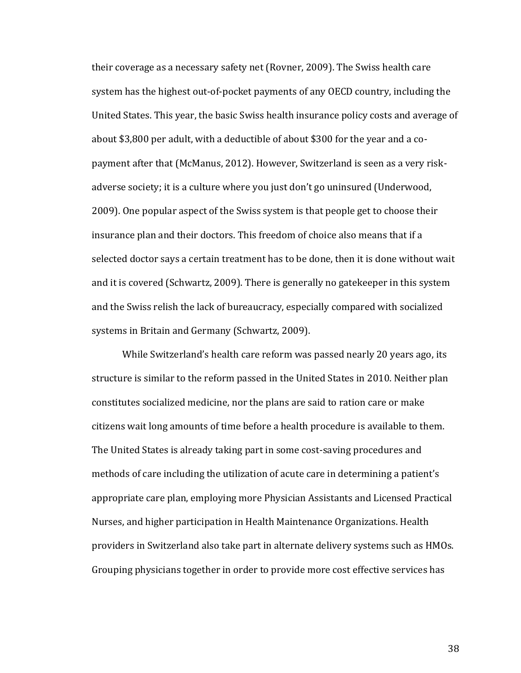their coverage as a necessary safety net (Rovner, 2009). The Swiss health care system has the highest out-of-pocket payments of any OECD country, including the United States. This year, the basic Swiss health insurance policy costs and average of about \$3,800 per adult, with a deductible of about \$300 for the year and a copayment after that (McManus, 2012). However, Switzerland is seen as a very riskadverse society; it is a culture where you just don't go uninsured (Underwood, 2009). One popular aspect of the Swiss system is that people get to choose their insurance plan and their doctors. This freedom of choice also means that if a selected doctor says a certain treatment has to be done, then it is done without wait and it is covered (Schwartz, 2009). There is generally no gatekeeper in this system and the Swiss relish the lack of bureaucracy, especially compared with socialized systems in Britain and Germany (Schwartz, 2009).

While Switzerland's health care reform was passed nearly 20 years ago, its structure is similar to the reform passed in the United States in 2010. Neither plan constitutes socialized medicine, nor the plans are said to ration care or make citizens wait long amounts of time before a health procedure is available to them. The United States is already taking part in some cost-saving procedures and methods of care including the utilization of acute care in determining a patient's appropriate care plan, employing more Physician Assistants and Licensed Practical Nurses, and higher participation in Health Maintenance Organizations. Health providers in Switzerland also take part in alternate delivery systems such as HMOs. Grouping physicians together in order to provide more cost effective services has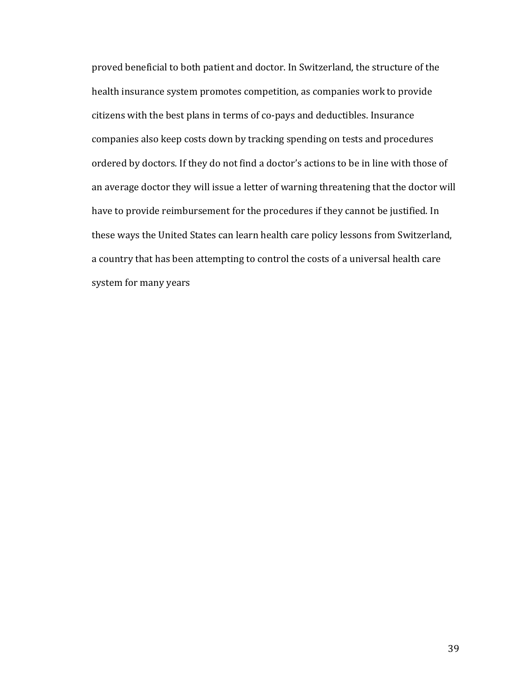proved beneficial to both patient and doctor. In Switzerland, the structure of the health insurance system promotes competition, as companies work to provide citizens with the best plans in terms of co-pays and deductibles. Insurance companies also keep costs down by tracking spending on tests and procedures ordered by doctors. If they do not find a doctor's actions to be in line with those of an average doctor they will issue a letter of warning threatening that the doctor will have to provide reimbursement for the procedures if they cannot be justified. In these ways the United States can learn health care policy lessons from Switzerland, a country that has been attempting to control the costs of a universal health care system for many years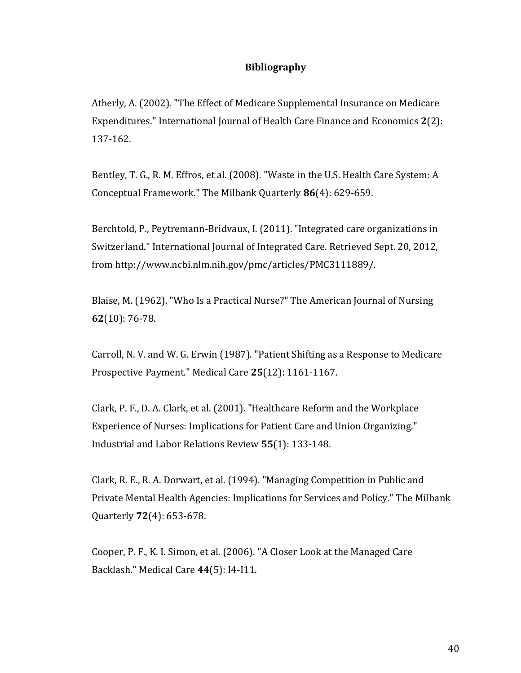## **Bibliography**

Atherly, A. (2002). "The Effect of Medicare Supplemental Insurance on Medicare Expenditures." International Journal of Health Care Finance and Economics **2**(2): 137-162.

Bentley, T. G., R. M. Effros, et al. (2008). "Waste in the U.S. Health Care System: A Conceptual Framework." The Milbank Quarterly **86**(4): 629-659.

Berchtold, P., Peytremann-Bridvaux, I. (2011). "Integrated care organizations in Switzerland." International Journal of Integrated Care. Retrieved Sept. 20, 2012, from [http://www.ncbi.nlm.nih.gov/pmc/articles/PMC3111889/.](http://www.ncbi.nlm.nih.gov/pmc/articles/PMC3111889/)

Blaise, M. (1962). "Who Is a Practical Nurse?" The American Journal of Nursing **62**(10): 76-78.

Carroll, N. V. and W. G. Erwin (1987). "Patient Shifting as a Response to Medicare Prospective Payment." Medical Care **25**(12): 1161-1167.

Clark, P. F., D. A. Clark, et al. (2001). "Healthcare Reform and the Workplace Experience of Nurses: Implications for Patient Care and Union Organizing." Industrial and Labor Relations Review **55**(1): 133-148.

Clark, R. E., R. A. Dorwart, et al. (1994). "Managing Competition in Public and Private Mental Health Agencies: Implications for Services and Policy." The Milbank Quarterly **72**(4): 653-678.

Cooper, P. F., K. I. Simon, et al. (2006). "A Closer Look at the Managed Care Backlash." Medical Care **44**(5): I4-I11.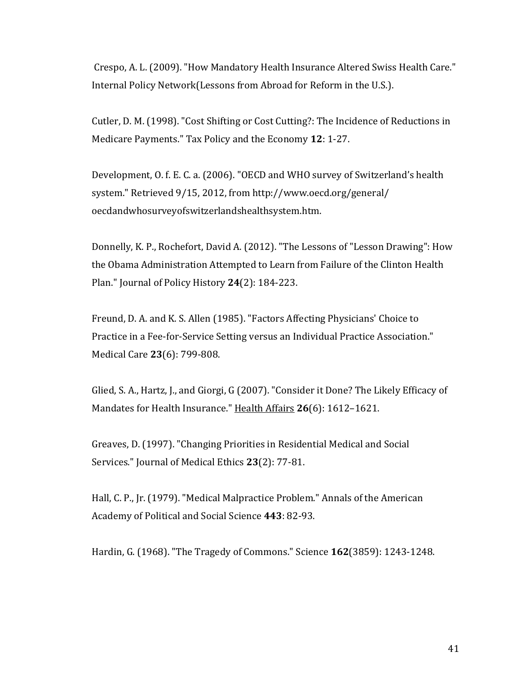Crespo, A. L. (2009). "How Mandatory Health Insurance Altered Swiss Health Care." Internal Policy Network(Lessons from Abroad for Reform in the U.S.).

Cutler, D. M. (1998). "Cost Shifting or Cost Cutting?: The Incidence of Reductions in Medicare Payments." Tax Policy and the Economy **12**: 1-27.

Development, O. f. E. C. a. (2006). "OECD and WHO survey of Switzerland's health system." Retrieved 9/15, 2012, from http://www.oecd.org/general/ oecdandwhosurveyofswitzerlandshealthsystem.htm.

Donnelly, K. P., Rochefort, David A. (2012). "The Lessons of "Lesson Drawing": How the Obama Administration Attempted to Learn from Failure of the Clinton Health Plan." Journal of Policy History **24**(2): 184-223.

Freund, D. A. and K. S. Allen (1985). "Factors Affecting Physicians' Choice to Practice in a Fee-for-Service Setting versus an Individual Practice Association." Medical Care **23**(6): 799-808.

Glied, S. A., Hartz, J., and Giorgi, G (2007). "Consider it Done? The Likely Efficacy of Mandates for Health Insurance." Health Affairs **26**(6): 1612–1621.

Greaves, D. (1997). "Changing Priorities in Residential Medical and Social Services." Journal of Medical Ethics **23**(2): 77-81.

Hall, C. P., Jr. (1979). "Medical Malpractice Problem." Annals of the American Academy of Political and Social Science **443**: 82-93.

Hardin, G. (1968). "The Tragedy of Commons." Science **162**(3859): 1243-1248.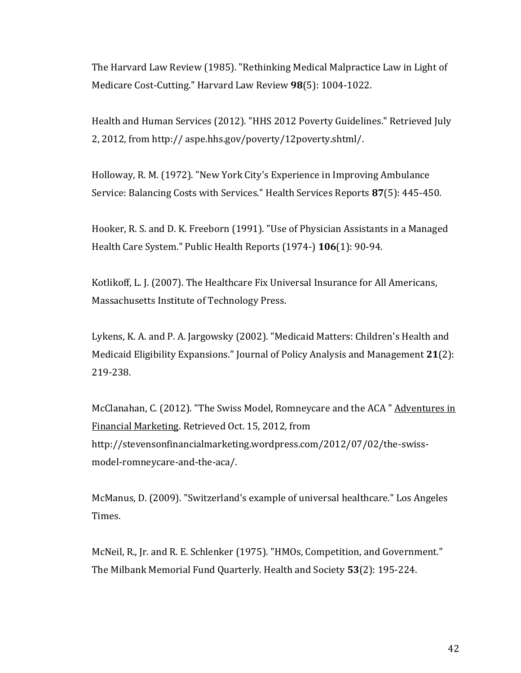The Harvard Law Review (1985). "Rethinking Medical Malpractice Law in Light of Medicare Cost-Cutting." Harvard Law Review **98**(5): 1004-1022.

Health and Human Services (2012). "HHS 2012 Poverty Guidelines." Retrieved July 2, 2012, from http:// aspe.hhs.gov/poverty/12poverty.shtml/.

Holloway, R. M. (1972). "New York City's Experience in Improving Ambulance Service: Balancing Costs with Services." Health Services Reports **87**(5): 445-450.

Hooker, R. S. and D. K. Freeborn (1991). "Use of Physician Assistants in a Managed Health Care System." Public Health Reports (1974-) **106**(1): 90-94.

Kotlikoff, L. J. (2007). The Healthcare Fix Universal Insurance for All Americans, Massachusetts Institute of Technology Press.

Lykens, K. A. and P. A. Jargowsky (2002). "Medicaid Matters: Children's Health and Medicaid Eligibility Expansions." Journal of Policy Analysis and Management **21**(2): 219-238.

McClanahan, C. (2012). "The Swiss Model, Romneycare and the ACA " Adventures in Financial Marketing. Retrieved Oct. 15, 2012, from [http://stevensonfinancialmarketing.wordpress.com/2012/07/02/the-swiss](http://stevensonfinancialmarketing.wordpress.com/2012/07/02/the-swiss-model-romneycare-and-the-aca/)[model-romneycare-and-the-aca/.](http://stevensonfinancialmarketing.wordpress.com/2012/07/02/the-swiss-model-romneycare-and-the-aca/)

McManus, D. (2009). "Switzerland's example of universal healthcare." Los Angeles Times.

McNeil, R., Jr. and R. E. Schlenker (1975). "HMOs, Competition, and Government." The Milbank Memorial Fund Quarterly. Health and Society **53**(2): 195-224.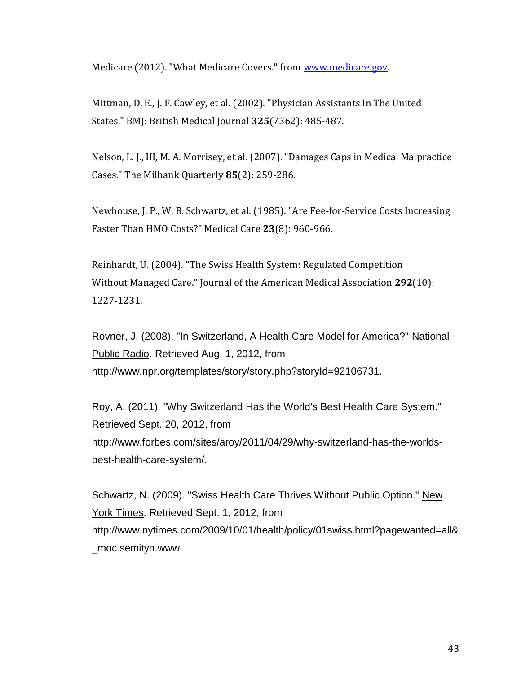Medicare (2012). "What Medicare Covers." from [www.medicare.gov.](http://www.medicare.gov/)

Mittman, D. E., J. F. Cawley, et al. (2002). "Physician Assistants In The United States." BMJ: British Medical Journal **325**(7362): 485-487.

Nelson, L. J., III, M. A. Morrisey, et al. (2007). "Damages Caps in Medical Malpractice Cases." The Milbank Quarterly **85**(2): 259-286.

Newhouse, J. P., W. B. Schwartz, et al. (1985). "Are Fee-for-Service Costs Increasing Faster Than HMO Costs?" Medical Care **23**(8): 960-966.

Reinhardt, U. (2004). "The Swiss Health System: Regulated Competition Without Managed Care." Journal of the American Medical Association **292**(10): 1227-1231.

Rovner, J. (2008). "In Switzerland, A Health Care Model for America?" National Public Radio. Retrieved Aug. 1, 2012, from <http://www.npr.org/templates/story/story.php?storyId=92106731.>

Roy, A. (2011). "Why Switzerland Has the World's Best Health Care System." Retrieved Sept. 20, 2012, from [http://www.forbes.com/sites/aroy/2011/04/29/why-switzerland-has-the-worlds](http://www.forbes.com/sites/aroy/2011/04/29/why-switzerland-has-the-worlds-best-health-care-system/)[best-health-care-system/.](http://www.forbes.com/sites/aroy/2011/04/29/why-switzerland-has-the-worlds-best-health-care-system/)

Schwartz, N. (2009). "Swiss Health Care Thrives Without Public Option." New York Times. Retrieved Sept. 1, 2012, from [http://www.nytimes.com/2009/10/01/health/policy/01swiss.html?pagewanted=all&](http://www.nytimes.com/2009/10/01/health/policy/01swiss.html?pagewanted=all&_moc.semityn.www.) [\\_moc.semityn.www.](http://www.nytimes.com/2009/10/01/health/policy/01swiss.html?pagewanted=all&_moc.semityn.www.)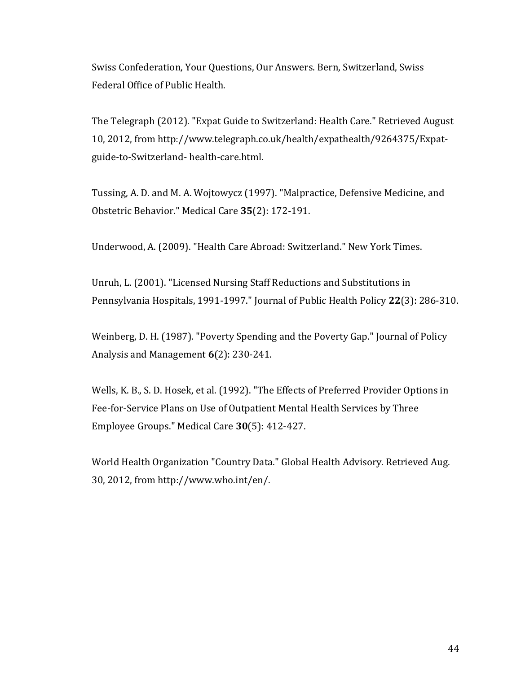Swiss Confederation, Your Questions, Our Answers. Bern, Switzerland, Swiss Federal Office of Public Health.

The Telegraph (2012). "Expat Guide to Switzerland: Health Care." Retrieved August 10, 2012, from http://www.telegraph.co.uk/health/expathealth/9264375/Expatguide-to-Switzerland- health-care.html.

Tussing, A. D. and M. A. Wojtowycz (1997). "Malpractice, Defensive Medicine, and Obstetric Behavior." Medical Care **35**(2): 172-191.

Underwood, A. (2009). "Health Care Abroad: Switzerland." New York Times.

Unruh, L. (2001). "Licensed Nursing Staff Reductions and Substitutions in Pennsylvania Hospitals, 1991-1997." Journal of Public Health Policy **22**(3): 286-310.

Weinberg, D. H. (1987). "Poverty Spending and the Poverty Gap." Journal of Policy Analysis and Management **6**(2): 230-241.

Wells, K. B., S. D. Hosek, et al. (1992). "The Effects of Preferred Provider Options in Fee-for-Service Plans on Use of Outpatient Mental Health Services by Three Employee Groups." Medical Care **30**(5): 412-427.

World Health Organization "Country Data." Global Health Advisory. Retrieved Aug. 30, 2012, from [http://www.who.int/en/.](http://www.who.int/en/)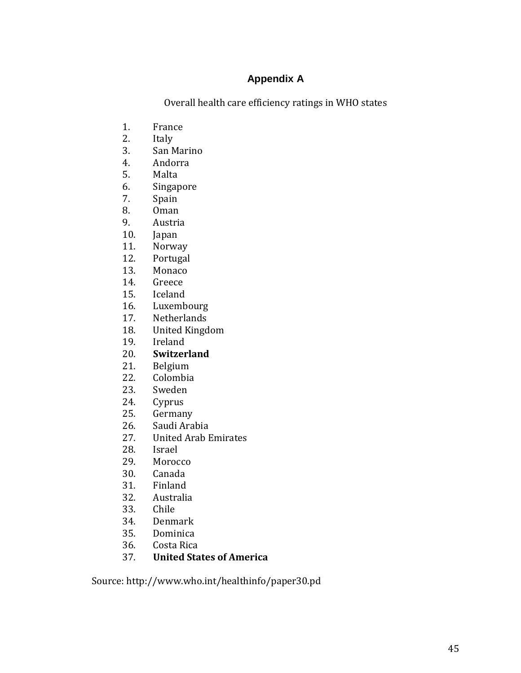# **Appendix A**

Overall health care efficiency ratings in WHO states

- 1. France
- 2. Italy
- 3. San Marino
- 4. Andorra
- 5. Malta
- 6. Singapore
- 7. Spain
- 8. Oman
- 9. Austria
- 10. Japan
- 11. Norway
- 12. Portugal
- 13. Monaco
- 14. Greece
- 15. Iceland
- 16. Luxembourg
- 17. Netherlands
- 18. United Kingdom
- 19. Ireland
- 20. **Switzerland**
- 21. Belgium
- 22. Colombia
- 23. Sweden
- 24. Cyprus
- 25. Germany
- 26. Saudi Arabia
- 27. United Arab Emirates
- 28. Israel
- 29. Morocco
- 30. Canada
- 31. Finland
- 32. Australia
- 33. Chile
- 34. Denmark
- 35. Dominica
- 36. Costa Rica
- 37. **United States of America**

Source: http://www.who.int/healthinfo/paper30.pd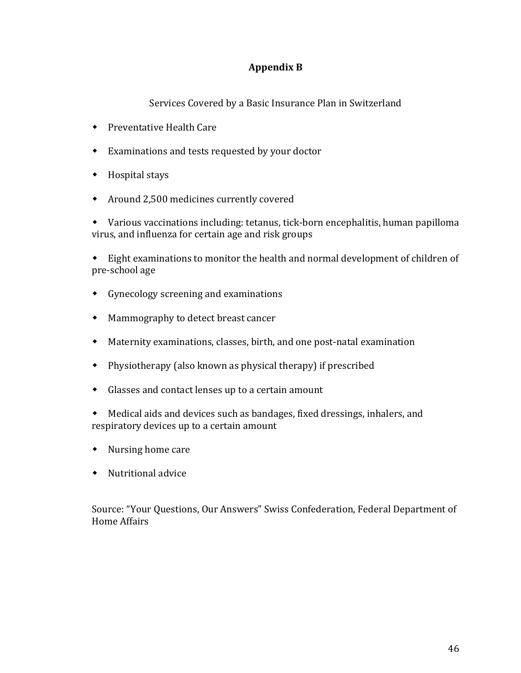# **Appendix B**

Services Covered by a Basic Insurance Plan in Switzerland

- Preventative Health Care
- Examinations and tests requested by your doctor
- Hospital stays
- Around 2,500 medicines currently covered

 Various vaccinations including: tetanus, tick-born encephalitis, human papilloma virus, and influenza for certain age and risk groups

 Eight examinations to monitor the health and normal development of children of pre-school age

- Gynecology screening and examinations
- Mammography to detect breast cancer
- Maternity examinations, classes, birth, and one post-natal examination
- Physiotherapy (also known as physical therapy) if prescribed
- Glasses and contact lenses up to a certain amount
- Medical aids and devices such as bandages, fixed dressings, inhalers, and respiratory devices up to a certain amount
- Nursing home care
- Nutritional advice

Source: "Your Questions, Our Answers" Swiss Confederation, Federal Department of Home Affairs